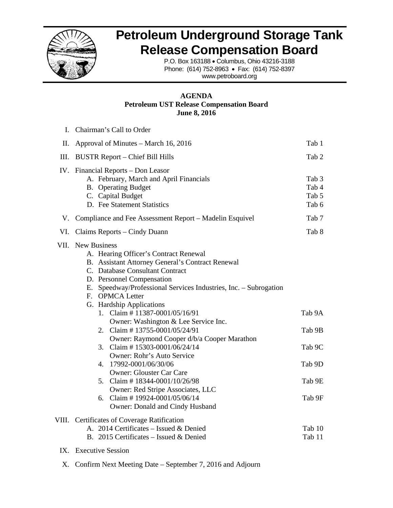

## **Petroleum Underground Storage Tank Release Compensation Board**

P.O. Box 163188 • Columbus, Ohio 43216-3188 Phone: (614) 752-8963 • Fax: (614) 752-8397 www.petroboard.org

## **AGENDA Petroleum UST Release Compensation Board June 8, 2016**

|     | I. Chairman's Call to Order                                                                                                                                                                                                                                                                                                                                                                                                                                                                                                                                                                                                                                                                        |                                                          |
|-----|----------------------------------------------------------------------------------------------------------------------------------------------------------------------------------------------------------------------------------------------------------------------------------------------------------------------------------------------------------------------------------------------------------------------------------------------------------------------------------------------------------------------------------------------------------------------------------------------------------------------------------------------------------------------------------------------------|----------------------------------------------------------|
| Π.  | Approval of Minutes – March 16, 2016                                                                                                                                                                                                                                                                                                                                                                                                                                                                                                                                                                                                                                                               | Tab 1                                                    |
| Ш.  | <b>BUSTR Report – Chief Bill Hills</b>                                                                                                                                                                                                                                                                                                                                                                                                                                                                                                                                                                                                                                                             | Tab 2                                                    |
|     | IV. Financial Reports - Don Leasor<br>A. February, March and April Financials<br><b>B.</b> Operating Budget<br>C. Capital Budget<br>D. Fee Statement Statistics                                                                                                                                                                                                                                                                                                                                                                                                                                                                                                                                    | Tab <sub>3</sub><br>Tab 4<br>Tab 5<br>Tab 6              |
|     | V. Compliance and Fee Assessment Report – Madelin Esquivel                                                                                                                                                                                                                                                                                                                                                                                                                                                                                                                                                                                                                                         | Tab 7                                                    |
| VI. | Claims Reports – Cindy Duann                                                                                                                                                                                                                                                                                                                                                                                                                                                                                                                                                                                                                                                                       | Tab 8                                                    |
|     | VII. New Business<br>A. Hearing Officer's Contract Renewal<br>B. Assistant Attorney General's Contract Renewal<br>C. Database Consultant Contract<br>D. Personnel Compensation<br>E. Speedway/Professional Services Industries, Inc. - Subrogation<br>F. OPMCA Letter<br>G. Hardship Applications<br>1. Claim #11387-0001/05/16/91<br>Owner: Washington & Lee Service Inc.<br>2. Claim #13755-0001/05/24/91<br>Owner: Raymond Cooper d/b/a Cooper Marathon<br>3. Claim #15303-0001/06/24/14<br>Owner: Rohr's Auto Service<br>4. 17992-0001/06/30/06<br><b>Owner: Glouster Car Care</b><br>5. Claim # $18344 - 0001/10/26/98$<br>Owner: Red Stripe Associates, LLC<br>6. Claim #19924-0001/05/06/14 | Tab 9A<br>Tab 9B<br>Tab 9C<br>Tab 9D<br>Tab 9E<br>Tab 9F |
|     | Owner: Donald and Cindy Husband<br>VIII. Certificates of Coverage Ratification<br>A. 2014 Certificates - Issued & Denied<br>B. 2015 Certificates - Issued & Denied                                                                                                                                                                                                                                                                                                                                                                                                                                                                                                                                 | Tab 10<br>Tab 11                                         |
|     | IX. Executive Session                                                                                                                                                                                                                                                                                                                                                                                                                                                                                                                                                                                                                                                                              |                                                          |

X. Confirm Next Meeting Date – September 7, 2016 and Adjourn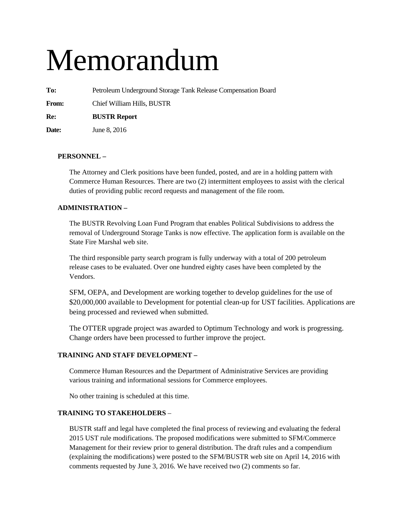# Memorandum

**To:** Petroleum Underground Storage Tank Release Compensation Board

**From:** Chief William Hills, BUSTR

**Re: BUSTR Report** 

**Date:** June 8, 2016

## **PERSONNEL –**

The Attorney and Clerk positions have been funded, posted, and are in a holding pattern with Commerce Human Resources. There are two (2) intermittent employees to assist with the clerical duties of providing public record requests and management of the file room.

## **ADMINISTRATION –**

The BUSTR Revolving Loan Fund Program that enables Political Subdivisions to address the removal of Underground Storage Tanks is now effective. The application form is available on the State Fire Marshal web site.

The third responsible party search program is fully underway with a total of 200 petroleum release cases to be evaluated. Over one hundred eighty cases have been completed by the Vendors.

SFM, OEPA, and Development are working together to develop guidelines for the use of \$20,000,000 available to Development for potential clean-up for UST facilities. Applications are being processed and reviewed when submitted.

The OTTER upgrade project was awarded to Optimum Technology and work is progressing. Change orders have been processed to further improve the project.

## **TRAINING AND STAFF DEVELOPMENT –**

Commerce Human Resources and the Department of Administrative Services are providing various training and informational sessions for Commerce employees.

No other training is scheduled at this time.

## **TRAINING TO STAKEHOLDERS** –

BUSTR staff and legal have completed the final process of reviewing and evaluating the federal 2015 UST rule modifications. The proposed modifications were submitted to SFM/Commerce Management for their review prior to general distribution. The draft rules and a compendium (explaining the modifications) were posted to the SFM/BUSTR web site on April 14, 2016 with comments requested by June 3, 2016. We have received two (2) comments so far.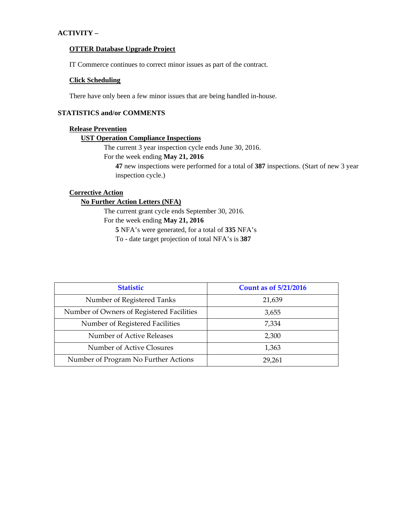## **ACTIVITY –**

#### **OTTER Database Upgrade Project**

IT Commerce continues to correct minor issues as part of the contract.

## **Click Scheduling**

There have only been a few minor issues that are being handled in-house.

## **STATISTICS and/or COMMENTS**

## **Release Prevention**

## **UST Operation Compliance Inspections**

The current 3 year inspection cycle ends June 30, 2016.

## For the week ending **May 21, 2016**

**47** new inspections were performed for a total of **387** inspections. (Start of new 3 year inspection cycle.)

## **Corrective Action**

## **No Further Action Letters (NFA)**

The current grant cycle ends September 30, 2016.

## For the week ending **May 21, 2016**

**5** NFA's were generated, for a total of **335** NFA's

To - date target projection of total NFA's is **387** 

| <b>Statistic</b>                          | <b>Count as of 5/21/2016</b> |
|-------------------------------------------|------------------------------|
| Number of Registered Tanks                | 21,639                       |
| Number of Owners of Registered Facilities | 3,655                        |
| Number of Registered Facilities           | 7,334                        |
| Number of Active Releases                 | 2,300                        |
| Number of Active Closures                 | 1,363                        |
| Number of Program No Further Actions      | 29,261                       |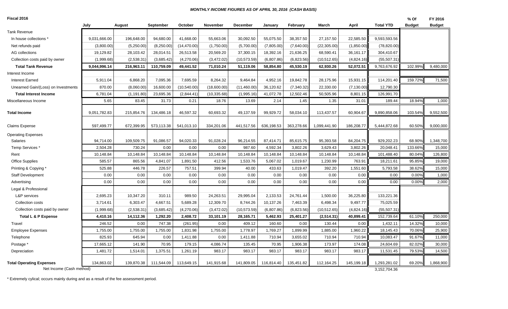#### *MONTHLY INCOME FIGURES AS OF APRIL 30, 2016 (CASH BASIS)*

**Fiscal 2016**

| <b>Fiscal 2016</b>                  |              |             |            |              |              |                 |            |            |              |             |                  | % Of          | FY 2016       |
|-------------------------------------|--------------|-------------|------------|--------------|--------------|-----------------|------------|------------|--------------|-------------|------------------|---------------|---------------|
|                                     | July         | August      | September  | October      | November     | <b>December</b> | January    | February   | March        | April       | <b>Total YTD</b> | <b>Budget</b> | <b>Budget</b> |
| <b>Tank Revenue</b>                 |              |             |            |              |              |                 |            |            |              |             |                  |               |               |
| In house collections *              | 9,031,666.00 | 196,648.00  | 94,680.00  | 41,668.00    | 55,663.06    | 30,092.50       | 55,075.50  | 38,357.50  | 27,157.50    | 22,585.50   | 9,593,593.56     |               |               |
| Net refunds paid                    | (3,800.00)   | (5,250.00)  | (8,250.00) | (14, 470.00) | (1,750.00)   | (5,700.00)      | (7,805.00) | (7,640.00) | (22, 305.00) | (1,850.00)  | (78, 820.00)     |               |               |
| AG collections                      | 19,129.82    | 28,103.42   | 28,014.51  | 26,513.58    | 20,569.20    | 37,300.15       | 18,392.16  | 21,636.25  | 68,590.41    | 36,161.17   | 304,410.67       |               |               |
| Collection costs paid by owner      | (1,999.68)   | (2,538.31)  | (3,685.42) | (4,270.06)   | (3,472.02)   | (10, 573.59)    | (6,807.86) | (6,823.56) | (10, 512.65) | (4,824.16)  | (55, 507.31)     |               |               |
| <b>Total Tank Revenue</b>           | 9,044,996.14 | 216,963.11  | 110,759.09 | 49,441.52    | 71,010.24    | 51,119.06       | 58,854.80  | 45,530.19  | 62,930.26    | 52,072.51   | 9,763,676.92     | 102.99%       | 9,480,000     |
| Interest Income                     |              |             |            |              |              |                 |            |            |              |             |                  |               |               |
| <b>Interest Earned</b>              | 5,911.04     | 6,868.20    | 7,095.36   | 7,695.59     | 8,264.32     | 9,464.84        | 4,952.16   | 19,842.78  | 28,175.96    | 15,931.15   | 114,201.40       | 159.72%       | 71,500        |
| Unearned Gain/(Loss) on Investments | 870.00       | (8,060.00)  | 16,600.00  | (10, 540.00) | (18,600.00)  | (11, 460.00)    | 36,120.62  | (7,340.32) | 22,330.00    | (7, 130.00) | 12,790.30        |               |               |
| <b>Total Interest Income</b>        | 6,781.04     | (1, 191.80) | 23,695.36  | (2,844.41)   | (10, 335.68) | (1,995.16)      | 41,072.78  | 12,502.46  | 50,505.96    | 8,801.15    | 126,991.70       |               |               |
| Miscellaneous Income                | 5.65         | 83.45       | 31.73      | 0.21         | 18.76        | 13.69           | 2.14       | 1.45       | 1.35         | 31.01       | 189.44           | 18.94%        | 1,000         |
| <b>Total Income</b>                 | 9,051,782.83 | 215,854.76  | 134,486.18 | 46,597.32    | 60,693.32    | 49,137.59       | 99,929.72  | 58,034.10  | 113,437.57   | 60,904.67   | 9,890,858.06     | 103.54%       | 9,552,500     |
| <b>Claims Expense</b>               | 597,499.77   | 672,399.95  | 573,113.38 | 541,013.10   | 334,201.06   | 441,517.56      | 636,198.53 | 363,278.66 | 1,099,441.90 | 186,208.77  | 5,444,872.68     | 60.50%        | 9,000,000     |
| <b>Operating Expenses</b>           |              |             |            |              |              |                 |            |            |              |             |                  |               |               |
| Salaries                            | 94,714.00    | 109,509.75  | 91,086.57  | 94,020.33    | 91,028.24    | 96,214.55       | 87,414.71  | 85,615.75  | 95,393.58    | 84,204.75   | 929,202.23       | 68.90%        | 1,348,700     |
| Temp Services <sup>*</sup>          | 2,504.28     | 730.24      | 0.00       | 0.00         | 0.00         | 987.60          | 4,592.34   | 3,802.26   | 3,629.43     | 3,802.26    | 20,048.41        | 133.66%       | 15,000        |
| Rent                                | 10,148.84    | 10,148.84   | 10,148.84  | 10,148.84    | 10,148.84    | 10,148.84       | 10,148.84  | 10,148.84  | 10,148.84    | 10,148.84   | 101,488.40       | 80.04%        | 126,800       |
| <b>Office Supplies</b>              | 585.57       | 865.56      | 4,841.07   | 1,891.50     | 412.56       | 1,533.76        | 5,067.02   | 1,019.67   | 1,230.99     | 763.91      | 18,211.61        | 95.85%        | 19,000        |
| Printing & Copying *                | 525.88       | 446.78      | 226.57     | 757.51       | 399.94       | 40.00           | 433.63     | 1,019.47   | 392.20       | 1,551.60    | 5,793.58         | 38.62%        | 15,000        |
| <b>Staff Development</b>            | 0.00         | 0.00        | 0.00       | 0.00         | 0.00         | 0.00            | 0.00       | 0.00       | 0.00         | 0.00        | 0.00             | 0.00%         | 1,000         |
| Advertising                         | 0.00         | 0.00        | 0.00       | 0.00         | 0.00         | 0.00            | 0.00       | 0.00       | 0.00         | 0.00        | 0.00             | 0.00%         | 2,000         |
| Legal & Professional                |              |             |            |              |              |                 |            |            |              |             |                  |               |               |
| L&P services                        | 2,695.23     | 10,347.20   | 310.11     | 989.50       | 24,263.51    | 29,995.04       | 2,133.53   | 24,761.44  | 1,500.00     | 36,225.80   | 133,221.36       |               |               |
| Collection costs                    | 3,714.61     | 6,303.47    | 4,667.51   | 5,689.28     | 12,309.70    | 8,744.26        | 10,137.26  | 7,463.39   | 6,498.34     | 9,497.77    | 75,025.59        |               |               |
| Collection costs paid by owner      | (1,999.68)   | (2,538.31)  | (3,685.42) | (4,270.06)   | (3,472.02)   | (10, 573.59)    | (6,807.86) | (6,823.56) | (10, 512.65) | (4,824.16)  | (55, 507.31)     |               |               |
| Total L & P Expense                 | 4,410.16     | 14,112.36   | 1,292.20   | 2,408.72     | 33,101.19    | 28,165.71       | 5,462.93   | 25,401.27  | (2,514.31)   | 40,899.41   | 152,739.64       | 61.10%        | 250,000       |
| Travel                              | 246.52       | 0.00        | 747.38     | (261.95)     | 0.00         | 409.12          | 160.60     | 0.00       | 130.44       | 0.00        | 1,432.11         | 14.32%        | 10,000        |
| <b>Employee Expenses</b>            | 1,755.00     | 1,755.00    | 1,755.00   | 1,831.98     | 1,755.00     | 1,778.97        | 1,769.27   | 1,899.99   | 1,885.00     | 1,960.22    | 18,145.43        | 70.06%        | 25,900        |
| Telephone                           | 825.93       | 645.94      | 0.00       | 1,411.88     | 0.00         | 1,411.88        | 710.94     | 3,655.02   | 710.94       | 710.94      | 10,083.47        | 91.67%        | 11,000        |
| Postage *                           | 17,665.12    | 141.90      | 70.95      | 179.15       | 4,086.74     | 135.45          | 70.95      | 1,906.38   | 173.97       | 174.08      | 24,604.69        | 82.02%        | 30,000        |
| Depreciation                        | 1,481.72     | 1,514.01    | 1,375.51   | 1,261.19     | 983.17       | 983.17          | 983.17     | 983.17     | 983.17       | 983.17      | 11,531.45        | 79.53%        | 14,500        |
| <b>Total Operating Expenses</b>     | 134,863.02   | 139,870.38  | 111,544.09 | 113,649.15   | 141,915.68   | 141,809.05      | 116,814.40 | 135,451.82 | 112,164.25   | 145,199.18  | 1,293,281.02     | 69.20%        | 1,868,900     |
| Net Income (Cash method)            |              |             |            |              |              |                 |            |            |              |             | 3,152,704.36     |               |               |

\* Extremely cylical; occurs mainly during and as a result of the fee assessment period.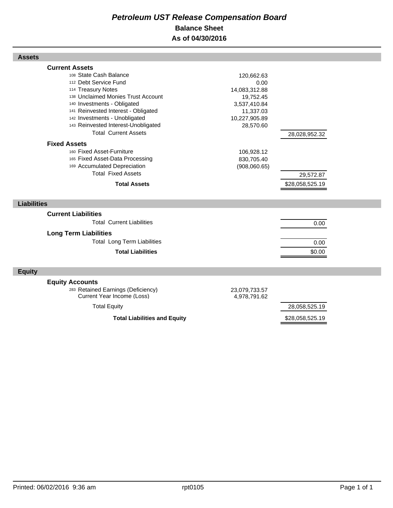## *Petroleum UST Release Compensation Board*  **Balance Sheet As of 04/30/2016**

| <b>Assets</b>                                                                                                                                                                                                                                                                                                                                                                                                                                                                                |                                                                                                                                                         |                                               |  |
|----------------------------------------------------------------------------------------------------------------------------------------------------------------------------------------------------------------------------------------------------------------------------------------------------------------------------------------------------------------------------------------------------------------------------------------------------------------------------------------------|---------------------------------------------------------------------------------------------------------------------------------------------------------|-----------------------------------------------|--|
| <b>Current Assets</b><br>108 State Cash Balance<br>112 Debt Service Fund<br>114 Treasury Notes<br>138 Unclaimed Monies Trust Account<br>140 Investments - Obligated<br>141 Reinvested Interest - Obligated<br>142 Investments - Unobligated<br>143 Reinvested Interest-Unobligated<br><b>Total Current Assets</b><br><b>Fixed Assets</b><br>160 Fixed Asset-Furniture<br>165 Fixed Asset-Data Processing<br>169 Accumulated Depreciation<br><b>Total Fixed Assets</b><br><b>Total Assets</b> | 120,662.63<br>0.00<br>14,083,312.88<br>19,752.45<br>3,537,410.84<br>11,337.03<br>10,227,905.89<br>28,570.60<br>106,928.12<br>830,705.40<br>(908,060.65) | 28,028,952.32<br>29,572.87<br>\$28,058,525.19 |  |
| <b>Liabilities</b>                                                                                                                                                                                                                                                                                                                                                                                                                                                                           |                                                                                                                                                         |                                               |  |
| <b>Current Liabilities</b>                                                                                                                                                                                                                                                                                                                                                                                                                                                                   |                                                                                                                                                         |                                               |  |
| <b>Total Current Liabilities</b><br><b>Long Term Liabilities</b>                                                                                                                                                                                                                                                                                                                                                                                                                             |                                                                                                                                                         | 0.00                                          |  |
| <b>Total Long Term Liabilities</b><br><b>Total Liabilities</b>                                                                                                                                                                                                                                                                                                                                                                                                                               |                                                                                                                                                         | 0.00<br>\$0.00                                |  |
| <b>Equity</b>                                                                                                                                                                                                                                                                                                                                                                                                                                                                                |                                                                                                                                                         |                                               |  |
| <b>Equity Accounts</b><br>283 Retained Earnings (Deficiency)<br>Current Year Income (Loss)                                                                                                                                                                                                                                                                                                                                                                                                   | 23,079,733.57<br>4,978,791.62                                                                                                                           |                                               |  |
| <b>Total Equity</b>                                                                                                                                                                                                                                                                                                                                                                                                                                                                          |                                                                                                                                                         | 28,058,525.19                                 |  |
| <b>Total Liabilities and Equity</b>                                                                                                                                                                                                                                                                                                                                                                                                                                                          |                                                                                                                                                         | \$28,058,525.19                               |  |

Г

Г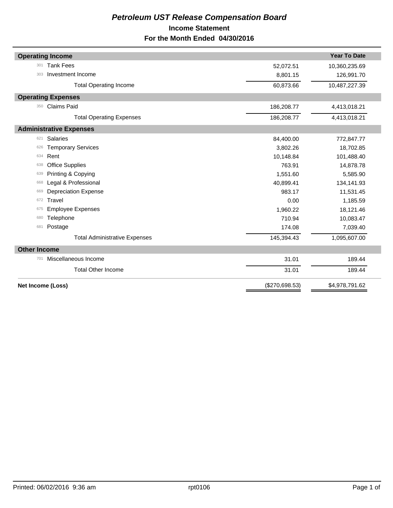## *Petroleum UST Release Compensation Board*  **Income Statement For the Month Ended 04/30/2016**

|                     | <b>Operating Income</b>              |                | <b>Year To Date</b> |
|---------------------|--------------------------------------|----------------|---------------------|
| 301                 | <b>Tank Fees</b>                     | 52,072.51      | 10,360,235.69       |
| 303                 | Investment Income                    | 8,801.15       | 126,991.70          |
|                     | <b>Total Operating Income</b>        | 60,873.66      | 10,487,227.39       |
|                     | <b>Operating Expenses</b>            |                |                     |
| 350                 | <b>Claims Paid</b>                   | 186,208.77     | 4,413,018.21        |
|                     | <b>Total Operating Expenses</b>      | 186,208.77     | 4,413,018.21        |
|                     | <b>Administrative Expenses</b>       |                |                     |
| 621                 | <b>Salaries</b>                      | 84,400.00      | 772,847.77          |
| 626                 | <b>Temporary Services</b>            | 3,802.26       | 18,702.85           |
| 634                 | Rent                                 | 10,148.84      | 101,488.40          |
| 638                 | <b>Office Supplies</b>               | 763.91         | 14,878.78           |
| 639                 | Printing & Copying                   | 1,551.60       | 5,585.90            |
| 668                 | Legal & Professional                 | 40,899.41      | 134,141.93          |
| 669                 | <b>Depreciation Expense</b>          | 983.17         | 11,531.45           |
| 672                 | Travel                               | 0.00           | 1,185.59            |
| 675                 | <b>Employee Expenses</b>             | 1,960.22       | 18,121.46           |
| 680                 | Telephone                            | 710.94         | 10,083.47           |
| 681                 | Postage                              | 174.08         | 7,039.40            |
|                     | <b>Total Administrative Expenses</b> | 145,394.43     | 1,095,607.00        |
| <b>Other Income</b> |                                      |                |                     |
| 701                 | Miscellaneous Income                 | 31.01          | 189.44              |
|                     | <b>Total Other Income</b>            | 31.01          | 189.44              |
|                     | <b>Net Income (Loss)</b>             | (\$270,698.53) | \$4,978,791.62      |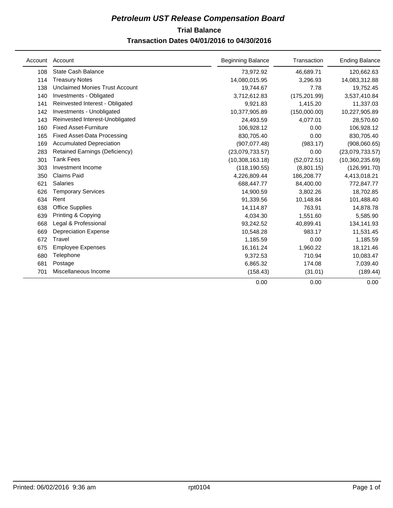## **Trial Balance** *Petroleum UST Release Compensation Board*

## **Transaction Dates 04/01/2016 to 04/30/2016**

| Account | Account                               | <b>Beginning Balance</b> | Transaction   | <b>Ending Balance</b> |
|---------|---------------------------------------|--------------------------|---------------|-----------------------|
| 108     | <b>State Cash Balance</b>             | 73,972.92                | 46,689.71     | 120,662.63            |
| 114     | <b>Treasury Notes</b>                 | 14,080,015.95            | 3,296.93      | 14,083,312.88         |
| 138     | Unclaimed Monies Trust Account        | 19,744.67                | 7.78          | 19,752.45             |
| 140     | Investments - Obligated               | 3,712,612.83             | (175, 201.99) | 3,537,410.84          |
| 141     | Reinvested Interest - Obligated       | 9,921.83                 | 1,415.20      | 11,337.03             |
| 142     | Investments - Unobligated             | 10,377,905.89            | (150,000.00)  | 10,227,905.89         |
| 143     | Reinvested Interest-Unobligated       | 24,493.59                | 4,077.01      | 28,570.60             |
| 160     | <b>Fixed Asset-Furniture</b>          | 106,928.12               | 0.00          | 106,928.12            |
| 165     | Fixed Asset-Data Processing           | 830,705.40               | 0.00          | 830,705.40            |
| 169     | <b>Accumulated Depreciation</b>       | (907, 077.48)            | (983.17)      | (908,060.65)          |
| 283     | <b>Retained Earnings (Deficiency)</b> | (23,079,733.57)          | 0.00          | (23,079,733.57)       |
| 301     | <b>Tank Fees</b>                      | (10,308,163.18)          | (52,072.51)   | (10,360,235.69)       |
| 303     | Investment Income                     | (118, 190.55)            | (8,801.15)    | (126, 991.70)         |
| 350     | Claims Paid                           | 4,226,809.44             | 186,208.77    | 4,413,018.21          |
| 621     | <b>Salaries</b>                       | 688,447.77               | 84,400.00     | 772,847.77            |
| 626     | <b>Temporary Services</b>             | 14,900.59                | 3,802.26      | 18,702.85             |
| 634     | Rent                                  | 91,339.56                | 10,148.84     | 101,488.40            |
| 638     | <b>Office Supplies</b>                | 14,114.87                | 763.91        | 14,878.78             |
| 639     | Printing & Copying                    | 4,034.30                 | 1,551.60      | 5,585.90              |
| 668     | Legal & Professional                  | 93,242.52                | 40,899.41     | 134,141.93            |
| 669     | <b>Depreciation Expense</b>           | 10,548.28                | 983.17        | 11,531.45             |
| 672     | Travel                                | 1,185.59                 | 0.00          | 1,185.59              |
| 675     | <b>Employee Expenses</b>              | 16,161.24                | 1,960.22      | 18,121.46             |
| 680     | Telephone                             | 9,372.53                 | 710.94        | 10,083.47             |
| 681     | Postage                               | 6,865.32                 | 174.08        | 7,039.40              |
| 701     | Miscellaneous Income                  | (158.43)                 | (31.01)       | (189.44)              |
|         |                                       | 0.00                     | 0.00          | 0.00                  |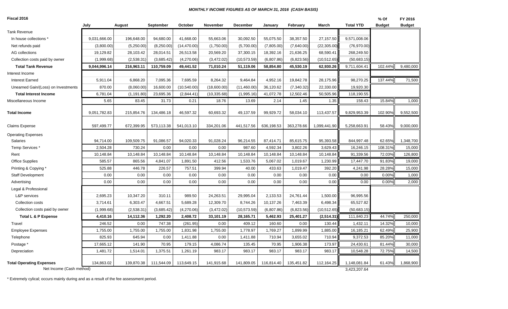#### *MONTHLY INCOME FIGURES AS OF MARCH 31, 2016 (CASH BASIS)*

| Fiscal 2016                                                 |              |             |            |              |              |              |            |            |              |                              | % Of          | FY 2016       |
|-------------------------------------------------------------|--------------|-------------|------------|--------------|--------------|--------------|------------|------------|--------------|------------------------------|---------------|---------------|
|                                                             | July         | August      | September  | October      | November     | December     | January    | February   | March        | <b>Total YTD</b>             | <b>Budget</b> | <b>Budget</b> |
| Tank Revenue                                                |              |             |            |              |              |              |            |            |              |                              |               |               |
| In house collections *                                      | 9,031,666.00 | 196,648.00  | 94,680.00  | 41,668.00    | 55,663.06    | 30,092.50    | 55,075.50  | 38,357.50  | 27,157.50    | 9,571,008.06                 |               |               |
| Net refunds paid                                            | (3,800.00)   | (5,250.00)  | (8,250.00) | (14, 470.00) | (1,750.00)   | (5,700.00)   | (7,805.00) | (7,640.00) | (22, 305.00) | (76, 970.00)                 |               |               |
| AG collections                                              | 19,129.82    | 28,103.42   | 28,014.51  | 26,513.58    | 20,569.20    | 37,300.15    | 18,392.16  | 21,636.25  | 68,590.41    | 268,249.50                   |               |               |
| Collection costs paid by owner                              | (1,999.68)   | (2,538.31)  | (3,685.42) | (4,270.06)   | (3,472.02)   | (10, 573.59) | (6,807.86) | (6,823.56) | (10, 512.65) | (50,683.15)                  |               |               |
| <b>Total Tank Revenue</b>                                   | 9,044,996.14 | 216,963.11  | 110,759.09 | 49,441.52    | 71,010.24    | 51,119.06    | 58,854.80  | 45,530.19  | 62,930.26    | 9,711,604.41                 | 102.44%       | 9,480,000     |
| Interest Income                                             |              |             |            |              |              |              |            |            |              |                              |               |               |
| <b>Interest Earned</b>                                      | 5,911.04     | 6,868.20    | 7,095.36   | 7,695.59     | 8,264.32     | 9,464.84     | 4,952.16   | 19,842.78  | 28,175.96    | 98,270.25                    | 137.44%       | 71,500        |
| Unearned Gain/(Loss) on Investments                         | 870.00       | (8,060.00)  | 16,600.00  | (10,540.00)  | (18,600.00)  | (11,460.00)  | 36,120.62  | (7,340.32) | 22,330.00    | 19,920.30                    |               |               |
| <b>Total Interest Income</b>                                | 6,781.04     | (1, 191.80) | 23,695.36  | (2,844.41)   | (10, 335.68) | (1,995.16)   | 41,072.78  | 12,502.46  | 50,505.96    | 118,190.55                   |               |               |
| Miscellaneous Income                                        | 5.65         | 83.45       | 31.73      | 0.21         | 18.76        | 13.69        | 2.14       | 1.45       | 1.35         | 158.43                       | 15.84%        | 1,000         |
| <b>Total Income</b>                                         | 9,051,782.83 | 215,854.76  | 134,486.18 | 46,597.32    | 60,693.32    | 49,137.59    | 99,929.72  | 58,034.10  | 113,437.57   | 9,829,953.39                 | 102.90%       | 9,552,500     |
| <b>Claims Expense</b>                                       | 597,499.77   | 672,399.95  | 573,113.38 | 541,013.10   | 334,201.06   | 441,517.56   | 636,198.53 | 363,278.66 | 1,099,441.90 | 5,258,663.91                 | 58.43%        | 9,000,000     |
| <b>Operating Expenses</b>                                   |              |             |            |              |              |              |            |            |              |                              |               |               |
| Salaries                                                    | 94,714.00    | 109,509.75  | 91,086.57  | 94,020.33    | 91,028.24    | 96,214.55    | 87,414.71  | 85,615.75  | 95,393.58    | 844,997.48                   | 62.65%        | 1,348,700     |
| Temp Services *                                             | 2,504.28     | 730.24      | 0.00       | 0.00         | 0.00         | 987.60       | 4,592.34   | 3,802.26   | 3,629.43     | 16,246.15                    | 108.31%       | 15,000        |
| Rent                                                        | 10,148.84    | 10,148.84   | 10,148.84  | 10,148.84    | 10,148.84    | 10,148.84    | 10,148.84  | 10,148.84  | 10,148.84    | 91,339.56                    | 72.03%        | 126,800       |
| <b>Office Supplies</b>                                      | 585.57       | 865.56      | 4,841.07   | 1,891.50     | 412.56       | 1,533.76     | 5,067.02   | 1,019.67   | 1,230.99     | 17,447.70                    | 91.83%        | 19,000        |
| Printing & Copying *                                        | 525.88       | 446.78      | 226.57     | 757.51       | 399.94       | 40.00        | 433.63     | 1,019.47   | 392.20       | 4,241.98                     | 28.28%        | 15,000        |
| <b>Staff Development</b>                                    | 0.00         | 0.00        | 0.00       | 0.00         | 0.00         | 0.00         | 0.00       | 0.00       | 0.00         | 0.00                         | 0.00%         | 1,000         |
| Advertising                                                 | 0.00         | 0.00        | 0.00       | 0.00         | 0.00         | 0.00         | 0.00       | 0.00       | 0.00         | 0.00                         | 0.00%         | 2,000         |
| Legal & Professional                                        |              |             |            |              |              |              |            |            |              |                              |               |               |
| L&P services                                                | 2,695.23     | 10,347.20   | 310.11     | 989.50       | 24,263.51    | 29,995.04    | 2,133.53   | 24,761.44  | 1,500.00     | 96,995.56                    |               |               |
| Collection costs                                            | 3,714.61     | 6,303.47    | 4,667.51   | 5,689.28     | 12,309.70    | 8,744.26     | 10,137.26  | 7,463.39   | 6,498.34     | 65,527.82                    |               |               |
| Collection costs paid by owner                              | (1,999.68)   | (2,538.31)  | (3,685.42) | (4,270.06)   | (3,472.02)   | (10, 573.59) | (6,807.86) | (6,823.56) | (10, 512.65) | (50,683.15)                  |               |               |
| <b>Total L &amp; P Expense</b>                              | 4,410.16     | 14,112.36   | 1,292.20   | 2,408.72     | 33,101.19    | 28,165.71    | 5,462.93   | 25,401.27  | (2,514.31)   | 111,840.23                   | 44.74%        | 250,000       |
| Travel                                                      | 246.52       | 0.00        | 747.38     | (261.95)     | 0.00         | 409.12       | 160.60     | 0.00       | 130.44       | 1,432.11                     | 14.32%        | 10,000        |
| <b>Employee Expenses</b>                                    | 1,755.00     | 1,755.00    | 1,755.00   | 1,831.98     | 1,755.00     | 1,778.97     | 1,769.27   | 1,899.99   | 1,885.00     | 16,185.21                    | 62.49%        | 25,900        |
| Telephone                                                   | 825.93       | 645.94      | 0.00       | 1,411.88     | 0.00         | 1,411.88     | 710.94     | 3,655.02   | 710.94       | 9,372.53                     | 85.20%        | 11,000        |
| Postage *                                                   | 17,665.12    | 141.90      | 70.95      | 179.15       | 4,086.74     | 135.45       | 70.95      | 1,906.38   | 173.97       | 24,430.61                    | 81.44%        | 30,000        |
| Depreciation                                                | 1,481.72     | 1,514.01    | 1,375.51   | 1,261.19     | 983.17       | 983.17       | 983.17     | 983.17     | 983.17       | 10,548.28                    | 72.75%        | 14,500        |
| <b>Total Operating Expenses</b><br>Net Income (Cash method) | 134,863.02   | 139,870.38  | 111,544.09 | 113,649.15   | 141,915.68   | 141,809.05   | 116,814.40 | 135,451.82 | 112,164.25   | 1,148,081.84<br>3,423,207.64 | 61.43%        | 1,868,900     |
|                                                             |              |             |            |              |              |              |            |            |              |                              |               |               |

\* Extremely cylical; occurs mainly during and as a result of the fee assessment period.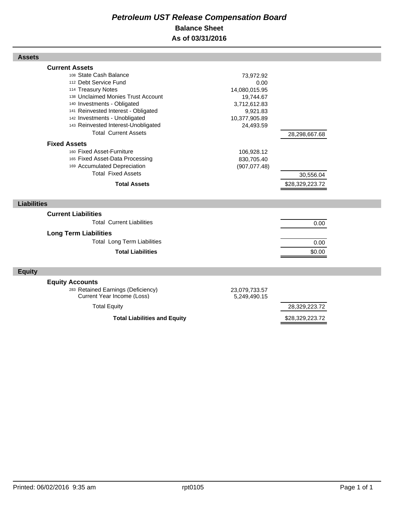## *Petroleum UST Release Compensation Board*  **Balance Sheet As of 03/31/2016**

| <b>Assets</b>                                                                                                                                                                                                                                                                                                                                                                                                                                                                                |                                                                                                                                                        |                                               |  |
|----------------------------------------------------------------------------------------------------------------------------------------------------------------------------------------------------------------------------------------------------------------------------------------------------------------------------------------------------------------------------------------------------------------------------------------------------------------------------------------------|--------------------------------------------------------------------------------------------------------------------------------------------------------|-----------------------------------------------|--|
| <b>Current Assets</b><br>108 State Cash Balance<br>112 Debt Service Fund<br>114 Treasury Notes<br>138 Unclaimed Monies Trust Account<br>140 Investments - Obligated<br>141 Reinvested Interest - Obligated<br>142 Investments - Unobligated<br>143 Reinvested Interest-Unobligated<br><b>Total Current Assets</b><br><b>Fixed Assets</b><br>160 Fixed Asset-Furniture<br>165 Fixed Asset-Data Processing<br>169 Accumulated Depreciation<br><b>Total Fixed Assets</b><br><b>Total Assets</b> | 73,972.92<br>0.00<br>14,080,015.95<br>19,744.67<br>3,712,612.83<br>9,921.83<br>10,377,905.89<br>24,493.59<br>106,928.12<br>830,705.40<br>(907, 077.48) | 28,298,667.68<br>30,556.04<br>\$28,329,223.72 |  |
| <b>Liabilities</b>                                                                                                                                                                                                                                                                                                                                                                                                                                                                           |                                                                                                                                                        |                                               |  |
| <b>Current Liabilities</b><br><b>Total Current Liabilities</b><br><b>Long Term Liabilities</b><br><b>Total Long Term Liabilities</b><br><b>Total Liabilities</b>                                                                                                                                                                                                                                                                                                                             |                                                                                                                                                        | 0.00<br>0.00<br>\$0.00                        |  |
| <b>Equity</b>                                                                                                                                                                                                                                                                                                                                                                                                                                                                                |                                                                                                                                                        |                                               |  |
| <b>Equity Accounts</b><br>283 Retained Earnings (Deficiency)<br>Current Year Income (Loss)<br><b>Total Equity</b>                                                                                                                                                                                                                                                                                                                                                                            | 23,079,733.57<br>5,249,490.15                                                                                                                          | 28,329,223.72                                 |  |

Total Liabilities and Equity **\$28,329,223.72**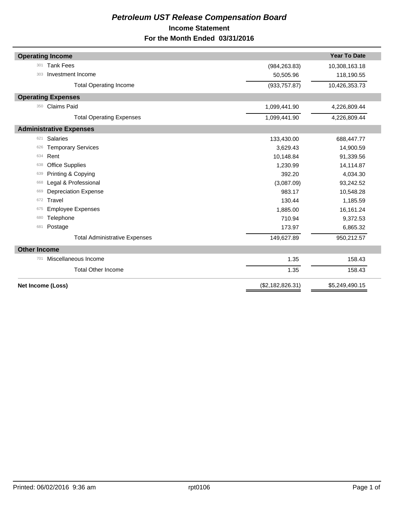## *Petroleum UST Release Compensation Board*  **Income Statement For the Month Ended 03/31/2016**

| <b>Operating Income</b>              |                  | <b>Year To Date</b> |
|--------------------------------------|------------------|---------------------|
| <b>Tank Fees</b><br>301              | (984, 263.83)    | 10,308,163.18       |
| Investment Income<br>303             | 50,505.96        | 118,190.55          |
| <b>Total Operating Income</b>        | (933, 757.87)    | 10,426,353.73       |
| <b>Operating Expenses</b>            |                  |                     |
| <b>Claims Paid</b><br>350            | 1,099,441.90     | 4,226,809.44        |
| <b>Total Operating Expenses</b>      | 1,099,441.90     | 4,226,809.44        |
| <b>Administrative Expenses</b>       |                  |                     |
| Salaries<br>621                      | 133,430.00       | 688,447.77          |
| <b>Temporary Services</b><br>626     | 3,629.43         | 14,900.59           |
| Rent<br>634                          | 10,148.84        | 91,339.56           |
| <b>Office Supplies</b><br>638        | 1,230.99         | 14,114.87           |
| Printing & Copying<br>639            | 392.20           | 4,034.30            |
| Legal & Professional<br>668          | (3,087.09)       | 93,242.52           |
| <b>Depreciation Expense</b><br>669   | 983.17           | 10,548.28           |
| Travel<br>672                        | 130.44           | 1,185.59            |
| <b>Employee Expenses</b><br>675      | 1,885.00         | 16,161.24           |
| Telephone<br>680                     | 710.94           | 9,372.53            |
| Postage<br>681                       | 173.97           | 6,865.32            |
| <b>Total Administrative Expenses</b> | 149,627.89       | 950,212.57          |
| <b>Other Income</b>                  |                  |                     |
| Miscellaneous Income<br>701          | 1.35             | 158.43              |
| <b>Total Other Income</b>            | 1.35             | 158.43              |
| Net Income (Loss)                    | (\$2,182,826.31) | \$5,249,490.15      |
|                                      |                  |                     |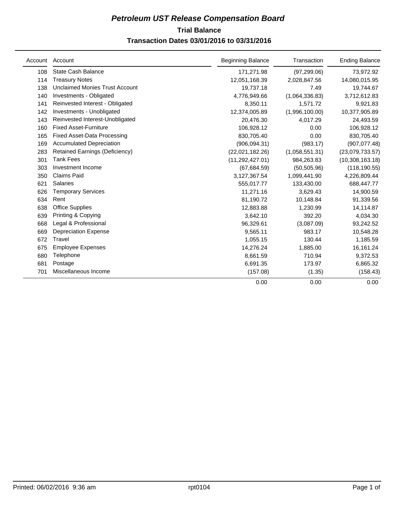## **Trial Balance** *Petroleum UST Release Compensation Board*  **Transaction Dates 03/01/2016 to 03/31/2016**

|     | Account Account                       | <b>Beginning Balance</b> | Transaction    | <b>Ending Balance</b> |
|-----|---------------------------------------|--------------------------|----------------|-----------------------|
| 108 | <b>State Cash Balance</b>             | 171,271.98               | (97, 299.06)   | 73,972.92             |
| 114 | <b>Treasury Notes</b>                 | 12,051,168.39            | 2,028,847.56   | 14,080,015.95         |
| 138 | <b>Unclaimed Monies Trust Account</b> | 19,737.18                | 7.49           | 19,744.67             |
| 140 | Investments - Obligated               | 4,776,949.66             | (1,064,336.83) | 3,712,612.83          |
| 141 | Reinvested Interest - Obligated       | 8,350.11                 | 1,571.72       | 9,921.83              |
| 142 | Investments - Unobligated             | 12,374,005.89            | (1,996,100.00) | 10,377,905.89         |
| 143 | Reinvested Interest-Unobligated       | 20,476.30                | 4,017.29       | 24,493.59             |
| 160 | <b>Fixed Asset-Furniture</b>          | 106,928.12               | 0.00           | 106,928.12            |
| 165 | <b>Fixed Asset-Data Processing</b>    | 830,705.40               | 0.00           | 830,705.40            |
| 169 | <b>Accumulated Depreciation</b>       | (906, 094.31)            | (983.17)       | (907, 077.48)         |
| 283 | <b>Retained Earnings (Deficiency)</b> | (22,021,182.26)          | (1,058,551.31) | (23,079,733.57)       |
| 301 | <b>Tank Fees</b>                      | (11, 292, 427.01)        | 984,263.83     | (10,308,163.18)       |
| 303 | Investment Income                     | (67, 684.59)             | (50, 505.96)   | (118, 190.55)         |
| 350 | <b>Claims Paid</b>                    | 3,127,367.54             | 1,099,441.90   | 4,226,809.44          |
| 621 | <b>Salaries</b>                       | 555,017.77               | 133,430.00     | 688,447.77            |
| 626 | <b>Temporary Services</b>             | 11,271.16                | 3,629.43       | 14,900.59             |
| 634 | Rent                                  | 81,190.72                | 10,148.84      | 91,339.56             |
| 638 | <b>Office Supplies</b>                | 12,883.88                | 1,230.99       | 14,114.87             |
| 639 | Printing & Copying                    | 3,642.10                 | 392.20         | 4,034.30              |
| 668 | Legal & Professional                  | 96,329.61                | (3,087.09)     | 93,242.52             |
| 669 | <b>Depreciation Expense</b>           | 9,565.11                 | 983.17         | 10,548.28             |
| 672 | Travel                                | 1,055.15                 | 130.44         | 1,185.59              |
| 675 | <b>Employee Expenses</b>              | 14,276.24                | 1,885.00       | 16,161.24             |
| 680 | Telephone                             | 8.661.59                 | 710.94         | 9,372.53              |
| 681 | Postage                               | 6,691.35                 | 173.97         | 6,865.32              |
| 701 | Miscellaneous Income                  | (157.08)                 | (1.35)         | (158.43)              |
|     |                                       | 0.00                     | 0.00           | 0.00                  |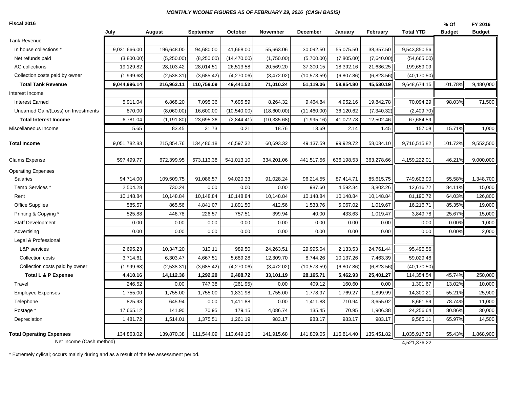#### *MONTHLY INCOME FIGURES AS OF FEBRUARY 29, 2016 (CASH BASIS)*

#### **Fiscal 2016**

| August<br>9,031,666.00<br>196,648.00<br>(3,800.00)<br>(5,250.00)<br>19,129.82<br>28,103.42<br>(1,999.68)<br>(2,538.31)<br>9,044,996.14<br>216,963.11<br>5,911.04<br>6,868.20<br>870.00<br>(8,060.00)<br>6,781.04<br>(1, 191.80)<br>5.65<br>83.45<br>9,051,782.83<br>215,854.76<br>597,499.77<br>672,399.95<br>94,714.00<br>109,509.75<br>2,504.28<br>730.24 | <b>September</b><br>94,680.00<br>(8,250.00)<br>28,014.51<br>(3,685.42)<br>110,759.09<br>7,095.36<br>16,600.00<br>23,695.36<br>31.73<br>134,486.18<br>573,113.38<br>91,086.57<br>0.00 | October<br>41,668.00<br>(14, 470.00)<br>26,513.58<br>(4,270.06)<br>49,441.52<br>7,695.59<br>(10, 540.00)<br>(2,844.41)<br>0.21<br>46,597.32<br>541,013.10<br>94,020.33 | November<br>55,663.06<br>(1,750.00)<br>20,569.20<br>(3,472.02)<br>71,010.24<br>8,264.32<br>(18,600.00)<br>(10, 335.68)<br>18.76<br>60,693.32<br>334,201.06<br>91,028.24 | <b>December</b><br>30,092.50<br>(5,700.00)<br>37,300.15<br>(10, 573.59)<br>51,119.06<br>9,464.84<br>(11,460.00)<br>(1,995.16)<br>13.69<br>49,137.59<br>441,517.56<br>96,214.55 | January<br>55,075.50<br>(7,805.00)<br>18,392.16<br>(6,807.86)<br>58,854.80<br>4,952.16<br>36,120.62<br>41,072.78<br>2.14<br>99,929.72<br>636,198.53 | February<br>38,357.50<br>(7,640.00)<br>21,636.25<br>(6,823.56)<br>45,530.19<br>19,842.78<br>(7,340.32)<br>12,502.46<br>1.45<br>58,034.10<br>363,278.66 | <b>Total YTD</b><br>9,543,850.56<br>(54,665.00)<br>199,659.09<br>(40, 170.50)<br>9,648,674.15<br>70,094.29<br>(2,409.70)<br>67,684.59<br>157.08<br>9,716,515.82<br>4,159,222.01 | <b>Budget</b><br>101.78%<br>98.03%<br>15.71%<br>101.72%<br>46.21% | <b>Budget</b><br>9,480,000<br>71,500<br>1,000<br>9,552,500<br>9,000,000                                                                |
|-------------------------------------------------------------------------------------------------------------------------------------------------------------------------------------------------------------------------------------------------------------------------------------------------------------------------------------------------------------|--------------------------------------------------------------------------------------------------------------------------------------------------------------------------------------|------------------------------------------------------------------------------------------------------------------------------------------------------------------------|-------------------------------------------------------------------------------------------------------------------------------------------------------------------------|--------------------------------------------------------------------------------------------------------------------------------------------------------------------------------|-----------------------------------------------------------------------------------------------------------------------------------------------------|--------------------------------------------------------------------------------------------------------------------------------------------------------|---------------------------------------------------------------------------------------------------------------------------------------------------------------------------------|-------------------------------------------------------------------|----------------------------------------------------------------------------------------------------------------------------------------|
|                                                                                                                                                                                                                                                                                                                                                             |                                                                                                                                                                                      |                                                                                                                                                                        |                                                                                                                                                                         |                                                                                                                                                                                |                                                                                                                                                     |                                                                                                                                                        |                                                                                                                                                                                 |                                                                   |                                                                                                                                        |
|                                                                                                                                                                                                                                                                                                                                                             |                                                                                                                                                                                      |                                                                                                                                                                        |                                                                                                                                                                         |                                                                                                                                                                                |                                                                                                                                                     |                                                                                                                                                        |                                                                                                                                                                                 |                                                                   |                                                                                                                                        |
|                                                                                                                                                                                                                                                                                                                                                             |                                                                                                                                                                                      |                                                                                                                                                                        |                                                                                                                                                                         |                                                                                                                                                                                |                                                                                                                                                     |                                                                                                                                                        |                                                                                                                                                                                 |                                                                   |                                                                                                                                        |
|                                                                                                                                                                                                                                                                                                                                                             |                                                                                                                                                                                      |                                                                                                                                                                        |                                                                                                                                                                         |                                                                                                                                                                                |                                                                                                                                                     |                                                                                                                                                        |                                                                                                                                                                                 |                                                                   |                                                                                                                                        |
|                                                                                                                                                                                                                                                                                                                                                             |                                                                                                                                                                                      |                                                                                                                                                                        |                                                                                                                                                                         |                                                                                                                                                                                |                                                                                                                                                     |                                                                                                                                                        |                                                                                                                                                                                 |                                                                   |                                                                                                                                        |
|                                                                                                                                                                                                                                                                                                                                                             |                                                                                                                                                                                      |                                                                                                                                                                        |                                                                                                                                                                         |                                                                                                                                                                                |                                                                                                                                                     |                                                                                                                                                        |                                                                                                                                                                                 |                                                                   |                                                                                                                                        |
|                                                                                                                                                                                                                                                                                                                                                             |                                                                                                                                                                                      |                                                                                                                                                                        |                                                                                                                                                                         |                                                                                                                                                                                |                                                                                                                                                     |                                                                                                                                                        |                                                                                                                                                                                 |                                                                   |                                                                                                                                        |
|                                                                                                                                                                                                                                                                                                                                                             |                                                                                                                                                                                      |                                                                                                                                                                        |                                                                                                                                                                         |                                                                                                                                                                                |                                                                                                                                                     |                                                                                                                                                        |                                                                                                                                                                                 |                                                                   |                                                                                                                                        |
|                                                                                                                                                                                                                                                                                                                                                             |                                                                                                                                                                                      |                                                                                                                                                                        |                                                                                                                                                                         |                                                                                                                                                                                |                                                                                                                                                     |                                                                                                                                                        |                                                                                                                                                                                 |                                                                   |                                                                                                                                        |
|                                                                                                                                                                                                                                                                                                                                                             |                                                                                                                                                                                      |                                                                                                                                                                        |                                                                                                                                                                         |                                                                                                                                                                                |                                                                                                                                                     |                                                                                                                                                        |                                                                                                                                                                                 |                                                                   |                                                                                                                                        |
|                                                                                                                                                                                                                                                                                                                                                             |                                                                                                                                                                                      |                                                                                                                                                                        |                                                                                                                                                                         |                                                                                                                                                                                |                                                                                                                                                     |                                                                                                                                                        |                                                                                                                                                                                 |                                                                   |                                                                                                                                        |
|                                                                                                                                                                                                                                                                                                                                                             |                                                                                                                                                                                      |                                                                                                                                                                        |                                                                                                                                                                         |                                                                                                                                                                                |                                                                                                                                                     |                                                                                                                                                        |                                                                                                                                                                                 |                                                                   |                                                                                                                                        |
|                                                                                                                                                                                                                                                                                                                                                             |                                                                                                                                                                                      |                                                                                                                                                                        |                                                                                                                                                                         |                                                                                                                                                                                |                                                                                                                                                     |                                                                                                                                                        |                                                                                                                                                                                 |                                                                   |                                                                                                                                        |
|                                                                                                                                                                                                                                                                                                                                                             |                                                                                                                                                                                      |                                                                                                                                                                        |                                                                                                                                                                         |                                                                                                                                                                                |                                                                                                                                                     |                                                                                                                                                        |                                                                                                                                                                                 |                                                                   |                                                                                                                                        |
|                                                                                                                                                                                                                                                                                                                                                             |                                                                                                                                                                                      |                                                                                                                                                                        |                                                                                                                                                                         |                                                                                                                                                                                |                                                                                                                                                     |                                                                                                                                                        |                                                                                                                                                                                 |                                                                   |                                                                                                                                        |
|                                                                                                                                                                                                                                                                                                                                                             |                                                                                                                                                                                      |                                                                                                                                                                        |                                                                                                                                                                         |                                                                                                                                                                                | 87,414.71                                                                                                                                           | 85,615.75                                                                                                                                              | 749,603.90                                                                                                                                                                      | 55.58%                                                            | 1,348,700                                                                                                                              |
|                                                                                                                                                                                                                                                                                                                                                             |                                                                                                                                                                                      | 0.00                                                                                                                                                                   | 0.00                                                                                                                                                                    | 987.60                                                                                                                                                                         | 4,592.34                                                                                                                                            | 3,802.26                                                                                                                                               | 12,616.72                                                                                                                                                                       | 84.11%                                                            | 15,000                                                                                                                                 |
| 10,148.84<br>10,148.84                                                                                                                                                                                                                                                                                                                                      | 10,148.84                                                                                                                                                                            | 10,148.84                                                                                                                                                              | 10,148.84                                                                                                                                                               | 10,148.84                                                                                                                                                                      | 10,148.84                                                                                                                                           | 10,148.84                                                                                                                                              | 81,190.72                                                                                                                                                                       | 64.03%                                                            | 126,800                                                                                                                                |
| 585.57<br>865.56                                                                                                                                                                                                                                                                                                                                            | 4,841.07                                                                                                                                                                             | 1,891.50                                                                                                                                                               | 412.56                                                                                                                                                                  | 1,533.76                                                                                                                                                                       | 5,067.02                                                                                                                                            | 1,019.67                                                                                                                                               | 16,216.71                                                                                                                                                                       | 85.35%                                                            | 19,000                                                                                                                                 |
| 525.88<br>446.78                                                                                                                                                                                                                                                                                                                                            | 226.57                                                                                                                                                                               | 757.51                                                                                                                                                                 | 399.94                                                                                                                                                                  | 40.00                                                                                                                                                                          | 433.63                                                                                                                                              | 1,019.47                                                                                                                                               | 3,849.78                                                                                                                                                                        | 25.67%                                                            | 15,000                                                                                                                                 |
| 0.00<br>0.00                                                                                                                                                                                                                                                                                                                                                | 0.00                                                                                                                                                                                 | 0.00                                                                                                                                                                   | 0.00                                                                                                                                                                    | 0.00                                                                                                                                                                           | 0.00                                                                                                                                                | 0.00                                                                                                                                                   | 0.00                                                                                                                                                                            | 0.00%                                                             | 1,000                                                                                                                                  |
| 0.00<br>0.00                                                                                                                                                                                                                                                                                                                                                | 0.00                                                                                                                                                                                 | 0.00                                                                                                                                                                   | 0.00                                                                                                                                                                    | 0.00                                                                                                                                                                           | 0.00                                                                                                                                                | 0.00                                                                                                                                                   | 0.00                                                                                                                                                                            | 0.00%                                                             | 2,000                                                                                                                                  |
|                                                                                                                                                                                                                                                                                                                                                             |                                                                                                                                                                                      |                                                                                                                                                                        |                                                                                                                                                                         |                                                                                                                                                                                |                                                                                                                                                     |                                                                                                                                                        |                                                                                                                                                                                 |                                                                   |                                                                                                                                        |
| 2,695.23<br>10,347.20                                                                                                                                                                                                                                                                                                                                       | 310.11                                                                                                                                                                               | 989.50                                                                                                                                                                 | 24,263.51                                                                                                                                                               | 29,995.04                                                                                                                                                                      | 2,133.53                                                                                                                                            | 24,761.44                                                                                                                                              | 95,495.56                                                                                                                                                                       |                                                                   |                                                                                                                                        |
| 3,714.61<br>6,303.47                                                                                                                                                                                                                                                                                                                                        | 4,667.51                                                                                                                                                                             | 5,689.28                                                                                                                                                               | 12,309.70                                                                                                                                                               | 8,744.26                                                                                                                                                                       | 10,137.26                                                                                                                                           | 7,463.39                                                                                                                                               | 59,029.48                                                                                                                                                                       |                                                                   |                                                                                                                                        |
| (2,538.31)<br>(1,999.68)                                                                                                                                                                                                                                                                                                                                    | (3,685.42)                                                                                                                                                                           | (4,270.06)                                                                                                                                                             | (3,472.02)                                                                                                                                                              | (10, 573.59)                                                                                                                                                                   | (6,807.86)                                                                                                                                          | (6,823.56)                                                                                                                                             | (40, 170.50)                                                                                                                                                                    |                                                                   |                                                                                                                                        |
| 14,112.36                                                                                                                                                                                                                                                                                                                                                   | 1,292.20                                                                                                                                                                             | 2,408.72                                                                                                                                                               | 33,101.19                                                                                                                                                               | 28,165.71                                                                                                                                                                      | 5,462.93                                                                                                                                            | 25,401.27                                                                                                                                              | 114,354.54                                                                                                                                                                      | 45.74%                                                            | 250,000                                                                                                                                |
| 0.00                                                                                                                                                                                                                                                                                                                                                        | 747.38                                                                                                                                                                               | (261.95)                                                                                                                                                               | 0.00                                                                                                                                                                    | 409.12                                                                                                                                                                         | 160.60                                                                                                                                              | 0.00                                                                                                                                                   | 1,301.67                                                                                                                                                                        | 13.02%                                                            | 10,000                                                                                                                                 |
| 1,755.00                                                                                                                                                                                                                                                                                                                                                    | 1,755.00                                                                                                                                                                             | 1,831.98                                                                                                                                                               | 1,755.00                                                                                                                                                                | 1,778.97                                                                                                                                                                       | 1,769.27                                                                                                                                            | 1,899.99                                                                                                                                               | 14,300.21                                                                                                                                                                       | 55.21%                                                            | 25,900                                                                                                                                 |
| 645.94                                                                                                                                                                                                                                                                                                                                                      | 0.00                                                                                                                                                                                 | 1,411.88                                                                                                                                                               | 0.00                                                                                                                                                                    | 1,411.88                                                                                                                                                                       | 710.94                                                                                                                                              | 3,655.02                                                                                                                                               | 8,661.59                                                                                                                                                                        | 78.74%                                                            | 11,000                                                                                                                                 |
| 141.90                                                                                                                                                                                                                                                                                                                                                      | 70.95                                                                                                                                                                                | 179.15                                                                                                                                                                 | 4,086.74                                                                                                                                                                | 135.45                                                                                                                                                                         | 70.95                                                                                                                                               | 1,906.38                                                                                                                                               | 24,256.64                                                                                                                                                                       | 80.86%                                                            | 30,000                                                                                                                                 |
| 1,514.01                                                                                                                                                                                                                                                                                                                                                    | 1,375.51                                                                                                                                                                             | 1,261.19                                                                                                                                                               | 983.17                                                                                                                                                                  | 983.17                                                                                                                                                                         | 983.17                                                                                                                                              | 983.17                                                                                                                                                 | 9,565.11                                                                                                                                                                        | 65.97%                                                            | 14,500                                                                                                                                 |
|                                                                                                                                                                                                                                                                                                                                                             |                                                                                                                                                                                      |                                                                                                                                                                        |                                                                                                                                                                         |                                                                                                                                                                                |                                                                                                                                                     |                                                                                                                                                        |                                                                                                                                                                                 |                                                                   | 1,868,900                                                                                                                              |
|                                                                                                                                                                                                                                                                                                                                                             | 4,410.16<br>246.52<br>1,755.00<br>825.93<br>17,665.12<br>1,481.72                                                                                                                    |                                                                                                                                                                        |                                                                                                                                                                         |                                                                                                                                                                                |                                                                                                                                                     |                                                                                                                                                        |                                                                                                                                                                                 |                                                                   | 134,863.02<br>139,870.38<br>111,544.09<br>113,649.15<br>141,915.68<br>141,809.05<br>116,814.40<br>135,451.82<br>1,035,917.59<br>55.43% |

\* Extremely cylical; occurs mainly during and as a result of the fee assessment period.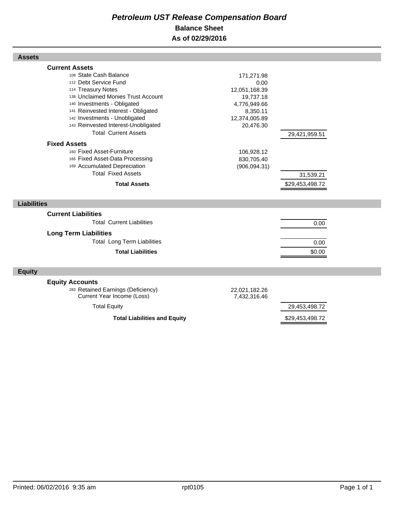## *Petroleum UST Release Compensation Board*  **Balance Sheet As of 02/29/2016**

| <b>Assets</b>                                                                                                                                                                                                                                                                                                                            |                                                                                                            |                              |  |
|------------------------------------------------------------------------------------------------------------------------------------------------------------------------------------------------------------------------------------------------------------------------------------------------------------------------------------------|------------------------------------------------------------------------------------------------------------|------------------------------|--|
| <b>Current Assets</b><br>108 State Cash Balance<br>112 Debt Service Fund<br>114 Treasury Notes<br>138 Unclaimed Monies Trust Account<br>140 Investments - Obligated<br>141 Reinvested Interest - Obligated<br>142 Investments - Unobligated<br>143 Reinvested Interest-Unobligated<br><b>Total Current Assets</b><br><b>Fixed Assets</b> | 171,271.98<br>0.00<br>12,051,168.39<br>19,737.18<br>4,776,949.66<br>8,350.11<br>12,374,005.89<br>20,476.30 | 29,421,959.51                |  |
| 160 Fixed Asset-Furniture<br>165 Fixed Asset-Data Processing<br>169 Accumulated Depreciation<br><b>Total Fixed Assets</b><br><b>Total Assets</b>                                                                                                                                                                                         | 106,928.12<br>830,705.40<br>(906, 094.31)                                                                  | 31,539.21<br>\$29,453,498.72 |  |
| <b>Liabilities</b>                                                                                                                                                                                                                                                                                                                       |                                                                                                            |                              |  |
| <b>Current Liabilities</b><br><b>Total Current Liabilities</b><br><b>Long Term Liabilities</b><br><b>Total Long Term Liabilities</b><br><b>Total Liabilities</b>                                                                                                                                                                         |                                                                                                            | 0.00<br>0.00<br>\$0.00       |  |
| <b>Equity</b>                                                                                                                                                                                                                                                                                                                            |                                                                                                            |                              |  |
| <b>Equity Accounts</b><br>283 Retained Earnings (Deficiency)<br>Current Year Income (Loss)                                                                                                                                                                                                                                               | 22,021,182.26<br>7,432,316.46                                                                              |                              |  |
| <b>Total Equity</b>                                                                                                                                                                                                                                                                                                                      |                                                                                                            | 29,453,498.72                |  |
| <b>Total Liabilities and Equity</b>                                                                                                                                                                                                                                                                                                      |                                                                                                            | \$29,453,498.72              |  |

Г

Г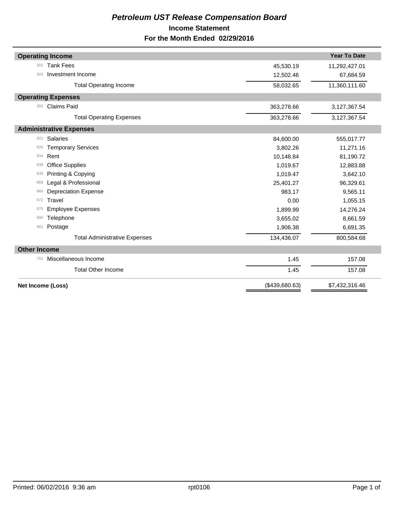## *Petroleum UST Release Compensation Board*  **Income Statement For the Month Ended 02/29/2016**

|                     | <b>Operating Income</b>              |                | <b>Year To Date</b> |
|---------------------|--------------------------------------|----------------|---------------------|
| 301                 | <b>Tank Fees</b>                     | 45,530.19      | 11,292,427.01       |
| 303                 | Investment Income                    | 12,502.46      | 67,684.59           |
|                     | <b>Total Operating Income</b>        | 58,032.65      | 11,360,111.60       |
|                     | <b>Operating Expenses</b>            |                |                     |
| 350                 | Claims Paid                          | 363,278.66     | 3,127,367.54        |
|                     | <b>Total Operating Expenses</b>      | 363,278.66     | 3,127,367.54        |
|                     | <b>Administrative Expenses</b>       |                |                     |
| 621                 | <b>Salaries</b>                      | 84,600.00      | 555,017.77          |
| 626                 | <b>Temporary Services</b>            | 3,802.26       | 11,271.16           |
| 634                 | Rent                                 | 10,148.84      | 81,190.72           |
| 638                 | <b>Office Supplies</b>               | 1,019.67       | 12,883.88           |
| 639                 | Printing & Copying                   | 1,019.47       | 3,642.10            |
| 668                 | Legal & Professional                 | 25,401.27      | 96,329.61           |
| 669                 | <b>Depreciation Expense</b>          | 983.17         | 9,565.11            |
| 672                 | Travel                               | 0.00           | 1,055.15            |
| 675                 | <b>Employee Expenses</b>             | 1,899.99       | 14,276.24           |
| 680                 | Telephone                            | 3,655.02       | 8,661.59            |
| 681                 | Postage                              | 1,906.38       | 6,691.35            |
|                     | <b>Total Administrative Expenses</b> | 134,436.07     | 800,584.68          |
| <b>Other Income</b> |                                      |                |                     |
| 701                 | Miscellaneous Income                 | 1.45           | 157.08              |
|                     | <b>Total Other Income</b>            | 1.45           | 157.08              |
| Net Income (Loss)   |                                      | (\$439,680.63) | \$7,432,316.46      |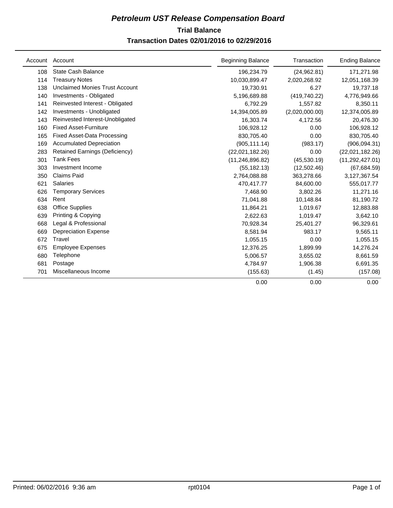## **Trial Balance** *Petroleum UST Release Compensation Board*  **Transaction Dates 02/01/2016 to 02/29/2016**

|     | Account Account                       | <b>Beginning Balance</b> | Transaction    | <b>Ending Balance</b> |
|-----|---------------------------------------|--------------------------|----------------|-----------------------|
| 108 | <b>State Cash Balance</b>             | 196,234.79               | (24, 962.81)   | 171,271.98            |
| 114 | <b>Treasury Notes</b>                 | 10,030,899.47            | 2,020,268.92   | 12,051,168.39         |
| 138 | <b>Unclaimed Monies Trust Account</b> | 19,730.91                | 6.27           | 19,737.18             |
| 140 | Investments - Obligated               | 5,196,689.88             | (419, 740.22)  | 4,776,949.66          |
| 141 | Reinvested Interest - Obligated       | 6,792.29                 | 1,557.82       | 8,350.11              |
| 142 | Investments - Unobligated             | 14,394,005.89            | (2,020,000.00) | 12,374,005.89         |
| 143 | Reinvested Interest-Unobligated       | 16,303.74                | 4,172.56       | 20,476.30             |
| 160 | <b>Fixed Asset-Furniture</b>          | 106,928.12               | 0.00           | 106,928.12            |
| 165 | <b>Fixed Asset-Data Processing</b>    | 830,705.40               | 0.00           | 830,705.40            |
| 169 | <b>Accumulated Depreciation</b>       | (905, 111.14)            | (983.17)       | (906, 094.31)         |
| 283 | <b>Retained Earnings (Deficiency)</b> | (22,021,182.26)          | 0.00           | (22,021,182.26)       |
| 301 | <b>Tank Fees</b>                      | (11, 246, 896.82)        | (45,530.19)    | (11, 292, 427.01)     |
| 303 | Investment Income                     | (55, 182.13)             | (12,502.46)    | (67, 684.59)          |
| 350 | <b>Claims Paid</b>                    | 2,764,088.88             | 363,278.66     | 3,127,367.54          |
| 621 | <b>Salaries</b>                       | 470,417.77               | 84,600.00      | 555,017.77            |
| 626 | <b>Temporary Services</b>             | 7,468.90                 | 3,802.26       | 11,271.16             |
| 634 | Rent                                  | 71,041.88                | 10,148.84      | 81,190.72             |
| 638 | <b>Office Supplies</b>                | 11,864.21                | 1,019.67       | 12,883.88             |
| 639 | Printing & Copying                    | 2,622.63                 | 1,019.47       | 3,642.10              |
| 668 | Legal & Professional                  | 70,928.34                | 25,401.27      | 96,329.61             |
| 669 | <b>Depreciation Expense</b>           | 8,581.94                 | 983.17         | 9,565.11              |
| 672 | Travel                                | 1,055.15                 | 0.00           | 1,055.15              |
| 675 | <b>Employee Expenses</b>              | 12,376.25                | 1,899.99       | 14,276.24             |
| 680 | Telephone                             | 5,006.57                 | 3,655.02       | 8,661.59              |
| 681 | Postage                               | 4,784.97                 | 1,906.38       | 6,691.35              |
| 701 | Miscellaneous Income                  | (155.63)                 | (1.45)         | (157.08)              |
|     |                                       | 0.00                     | 0.00           | 0.00                  |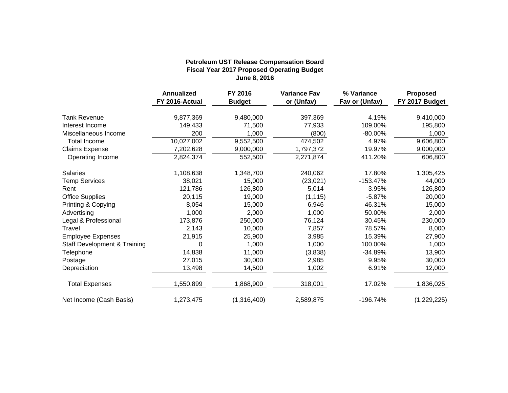## **Fiscal Year 2017 Proposed Operating Budget June 8, 2016 Petroleum UST Release Compensation Board**

|                                         | <b>Annualized</b><br>FY 2016-Actual | FY 2016<br><b>Budget</b> | <b>Variance Fav</b><br>or (Unfav) | % Variance<br>Fav or (Unfav) | <b>Proposed</b><br>FY 2017 Budget |
|-----------------------------------------|-------------------------------------|--------------------------|-----------------------------------|------------------------------|-----------------------------------|
| <b>Tank Revenue</b>                     | 9,877,369                           | 9,480,000                | 397,369                           | 4.19%                        | 9,410,000                         |
| Interest Income                         | 149,433                             | 71,500                   | 77,933                            | 109.00%                      | 195,800                           |
| Miscellaneous Income                    | 200                                 | 1,000                    | (800)                             | $-80.00\%$                   | 1,000                             |
| <b>Total Income</b>                     | 10,027,002                          | $\overline{9,552,500}$   | 474,502                           | 4.97%                        | 9,606,800                         |
| <b>Claims Expense</b>                   | 7,202,628                           | 9,000,000                | 1,797,372                         | 19.97%                       | 9,000,000                         |
| Operating Income                        | 2,824,374                           | 552,500                  | 2,271,874                         | 411.20%                      | 606,800                           |
| <b>Salaries</b>                         | 1,108,638                           | 1,348,700                | 240,062                           | 17.80%                       | 1,305,425                         |
| <b>Temp Services</b>                    | 38,021                              | 15,000                   | (23, 021)                         | $-153.47%$                   | 44,000                            |
| Rent                                    | 121,786                             | 126,800                  | 5,014                             | 3.95%                        | 126,800                           |
| <b>Office Supplies</b>                  | 20,115                              | 19,000                   | (1, 115)                          | $-5.87%$                     | 20,000                            |
| Printing & Copying                      | 8,054                               | 15,000                   | 6,946                             | 46.31%                       | 15,000                            |
| Advertising                             | 1,000                               | 2,000                    | 1,000                             | 50.00%                       | 2,000                             |
| Legal & Professional                    | 173,876                             | 250,000                  | 76,124                            | 30.45%                       | 230,000                           |
| Travel                                  | 2,143                               | 10,000                   | 7,857                             | 78.57%                       | 8,000                             |
| <b>Employee Expenses</b>                | 21,915                              | 25,900                   | 3,985                             | 15.39%                       | 27,900                            |
| <b>Staff Development &amp; Training</b> | 0                                   | 1,000                    | 1,000                             | 100.00%                      | 1,000                             |
| Telephone                               | 14,838                              | 11,000                   | (3,838)                           | $-34.89%$                    | 13,900                            |
| Postage                                 | 27,015                              | 30,000                   | 2,985                             | 9.95%                        | 30,000                            |
| Depreciation                            | 13,498                              | 14,500                   | 1,002                             | 6.91%                        | 12,000                            |
| <b>Total Expenses</b>                   | 1,550,899                           | 1,868,900                | 318,001                           | 17.02%                       | 1,836,025                         |
| Net Income (Cash Basis)                 | 1,273,475                           | (1,316,400)              | 2,589,875                         | $-196.74%$                   | (1,229,225)                       |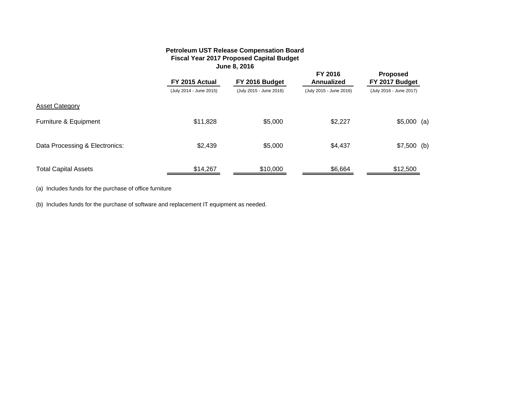## **Petroleum UST Release Compensation Board Fiscal Year 2017 Proposed Capital Budget June 8, 2016**

|                                | FY 2015 Actual          | FY 2016 Budget          | FY 2016<br>Annualized   | <b>Proposed</b><br>FY 2017 Budget |  |
|--------------------------------|-------------------------|-------------------------|-------------------------|-----------------------------------|--|
|                                | (July 2014 - June 2015) | (July 2015 - June 2016) | (July 2015 - June 2016) | (July 2016 - June 2017)           |  |
| <b>Asset Category</b>          |                         |                         |                         |                                   |  |
| Furniture & Equipment          | \$11,828                | \$5,000                 | \$2,227                 | $$5,000$ (a)                      |  |
| Data Processing & Electronics: | \$2,439                 | \$5,000                 | \$4,437                 | $$7,500$ (b)                      |  |
| <b>Total Capital Assets</b>    | \$14,267                | \$10,000                | \$6,664                 | \$12,500                          |  |

(a) Includes funds for the purchase of office furniture

(b) Includes funds for the purchase of software and replacement IT equipment as needed.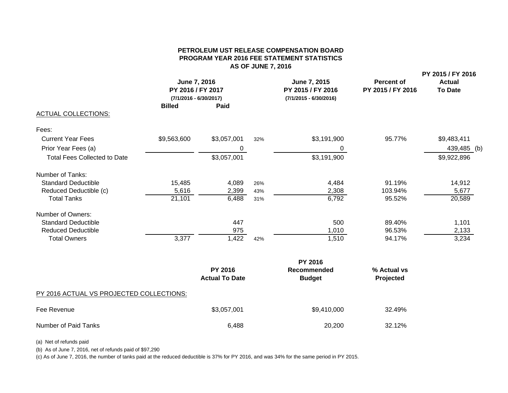## **PETROLEUM UST RELEASE COMPENSATION BOARDPROGRAM YEAR 2016 FEE STATEMENT STATISTICS AS OF JUNE 7, 2016**

|                                     | June 7, 2016<br>PY 2016 / FY 2017<br>$(7/1/2016 - 6/30/2017)$ |             |     | June 7, 2015<br>PY 2015 / FY 2016<br>$(7/1/2015 - 6/30/2016)$ | <b>Percent of</b><br>PY 2015 / FY 2016 | PY 2015 / FY 2016<br><b>Actual</b><br><b>To Date</b> |
|-------------------------------------|---------------------------------------------------------------|-------------|-----|---------------------------------------------------------------|----------------------------------------|------------------------------------------------------|
| <b>ACTUAL COLLECTIONS:</b>          | <b>Billed</b>                                                 | <b>Paid</b> |     |                                                               |                                        |                                                      |
|                                     |                                                               |             |     |                                                               |                                        |                                                      |
| Fees:                               |                                                               |             |     |                                                               |                                        |                                                      |
| <b>Current Year Fees</b>            | \$9,563,600                                                   | \$3,057,001 | 32% | \$3,191,900                                                   | 95.77%                                 | \$9,483,411                                          |
| Prior Year Fees (a)                 |                                                               | 0           |     | 0                                                             |                                        | 439,485 (b)                                          |
| <b>Total Fees Collected to Date</b> |                                                               | \$3,057,001 |     | \$3,191,900                                                   |                                        | \$9,922,896                                          |
| Number of Tanks:                    |                                                               |             |     |                                                               |                                        |                                                      |
| <b>Standard Deductible</b>          | 15,485                                                        | 4,089       | 26% | 4,484                                                         | 91.19%                                 | 14,912                                               |
| Reduced Deductible (c)              | 5,616                                                         | 2,399       | 43% | 2,308                                                         | 103.94%                                | 5,677                                                |
| <b>Total Tanks</b>                  | 21,101                                                        | 6,488       | 31% | 6,792                                                         | 95.52%                                 | 20,589                                               |
| Number of Owners:                   |                                                               |             |     |                                                               |                                        |                                                      |
| <b>Standard Deductible</b>          |                                                               | 447         |     | 500                                                           | 89.40%                                 | 1,101                                                |
| <b>Reduced Deductible</b>           |                                                               | 975         |     | 1,010                                                         | 96.53%                                 | 2,133                                                |
| <b>Total Owners</b>                 | 3,377                                                         | 1,422       | 42% | 1,510                                                         | 94.17%                                 | 3,234                                                |

|                                          | <b>PY 2016</b>                          |                              |                          |  |  |
|------------------------------------------|-----------------------------------------|------------------------------|--------------------------|--|--|
|                                          | <b>PY 2016</b><br><b>Actual To Date</b> | Recommended<br><b>Budget</b> | % Actual vs<br>Projected |  |  |
| PY 2016 ACTUAL VS PROJECTED COLLECTIONS: |                                         |                              |                          |  |  |
| Fee Revenue                              | \$3,057,001                             | \$9,410,000                  | 32.49%                   |  |  |
| Number of Paid Tanks                     | 6,488                                   | 20,200                       | 32.12%                   |  |  |

(a) Net of refunds paid

(b) As of June 7, 2016, net of refunds paid of \$97,290

(c) As of June 7, 2016, the number of tanks paid at the reduced deductible is 37% for PY 2016, and was 34% for the same period in PY 2015.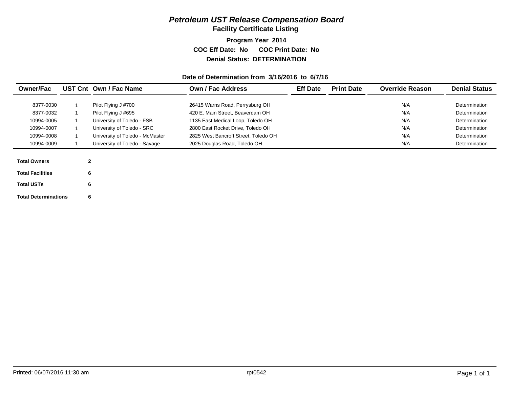## *Petroleum UST Release Compensation Board*

**Facility Certificate Listing**

**Program Year 2014 COC Eff Date: No COC Print Date: No Denial Status: DETERMINATION**

## **Date of Determination from 3/16/2016 to 6/7/16**

| <b>Owner/Fac</b>        |              | UST Cnt Own / Fac Name          | Own / Fac Address                    | <b>Eff Date</b> | <b>Print Date</b> | <b>Override Reason</b> | <b>Denial Status</b> |
|-------------------------|--------------|---------------------------------|--------------------------------------|-----------------|-------------------|------------------------|----------------------|
|                         |              |                                 |                                      |                 |                   |                        |                      |
| 8377-0030               |              | Pilot Flying J #700             | 26415 Warns Road, Perrysburg OH      |                 |                   | N/A                    | Determination        |
| 8377-0032               |              | Pilot Flying J #695             | 420 E. Main Street, Beaverdam OH     |                 |                   | N/A                    | Determination        |
| 10994-0005              |              | University of Toledo - FSB      | 1135 East Medical Loop, Toledo OH    |                 |                   | N/A                    | Determination        |
| 10994-0007              |              | University of Toledo - SRC      | 2800 East Rocket Drive, Toledo OH    |                 |                   | N/A                    | Determination        |
| 10994-0008              |              | University of Toledo - McMaster | 2825 West Bancroft Street. Toledo OH |                 |                   | N/A                    | Determination        |
| 10994-0009              |              | University of Toledo - Savage   | 2025 Douglas Road, Toledo OH         |                 |                   | N/A                    | Determination        |
|                         |              |                                 |                                      |                 |                   |                        |                      |
| <b>Total Owners</b>     | $\mathbf{2}$ |                                 |                                      |                 |                   |                        |                      |
| <b>Total Facilities</b> | 6            |                                 |                                      |                 |                   |                        |                      |

| <b>Total Facilities</b>     | հ |
|-----------------------------|---|
| <b>Total USTs</b>           | 6 |
| <b>Total Determinations</b> | 6 |

Printed: 06/07/2016 11:30 am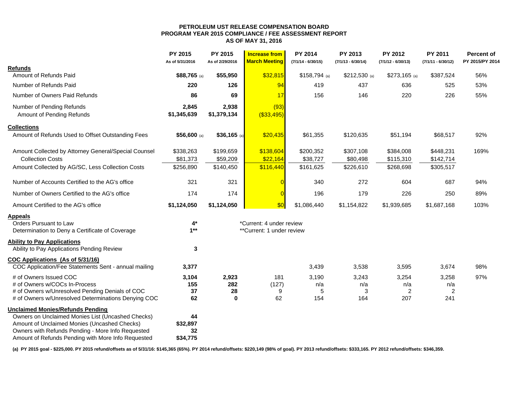#### **PETROLEUM UST RELEASE COMPENSATION BOARD PROGRAM YEAR 2015 COMPLIANCE / FEE ASSESSMENT REPORT AS OF MAY 31, 2016**

|                                                        | <b>PY 2015</b><br>As of 5/31/2016 | PY 2015<br>As of 2/29/2016 | <b>Increase from</b><br><b>March Meeting</b> | <b>PY 2014</b><br>$(7/1/14 - 6/30/15)$ | PY 2013<br>$(7/1/13 - 6/30/14)$ | <b>PY 2012</b><br>$(7/1/12 - 6/30/13)$ | <b>PY 2011</b><br>$(7/1/11 - 6/30/12)$ | <b>Percent of</b><br>PY 2015/PY 2014 |
|--------------------------------------------------------|-----------------------------------|----------------------------|----------------------------------------------|----------------------------------------|---------------------------------|----------------------------------------|----------------------------------------|--------------------------------------|
| <b>Refunds</b>                                         |                                   |                            |                                              |                                        |                                 |                                        |                                        |                                      |
| Amount of Refunds Paid                                 | $$88,765$ (a)                     | \$55,950                   | \$32,815                                     | $$158,794$ (a)                         | $$212,530$ (a)                  | $$273,165$ (a)                         | \$387,524                              | 56%                                  |
| Number of Refunds Paid                                 | 220                               | 126                        | 94                                           | 419                                    | 437                             | 636                                    | 525                                    | 53%                                  |
| Number of Owners Paid Refunds                          | 86                                | 69                         | 17                                           | 156                                    | 146                             | 220                                    | 226                                    | 55%                                  |
| Number of Pending Refunds<br>Amount of Pending Refunds | 2,845<br>\$1,345,639              | 2,938<br>\$1,379,134       | (93)<br>( \$33,495)                          |                                        |                                 |                                        |                                        |                                      |
| <b>Collections</b>                                     |                                   |                            |                                              |                                        |                                 |                                        |                                        |                                      |
| Amount of Refunds Used to Offset Outstanding Fees      | $$56,600$ (a)                     | $$36,165$ (a)              | \$20,435                                     | \$61,355                               | \$120,635                       | \$51,194                               | \$68,517                               | 92%                                  |
| Amount Collected by Attorney General/Special Counsel   | \$338,263                         | \$199,659                  | \$138,604                                    | \$200,352                              | \$307,108                       | \$384,008                              | \$448,231                              | 169%                                 |
| <b>Collection Costs</b>                                | \$81,373                          | \$59,209                   | \$22,164                                     | \$38,727                               | \$80,498                        | \$115,310                              | \$142,714                              |                                      |
| Amount Collected by AG/SC, Less Collection Costs       | \$256,890                         | \$140,450                  | \$116,440                                    | \$161,625                              | \$226,610                       | \$268,698                              | \$305,517                              |                                      |
| Number of Accounts Certified to the AG's office        | 321                               | 321                        |                                              | 340                                    | 272                             | 604                                    | 687                                    | 94%                                  |
| Number of Owners Certified to the AG's office          | 174                               | 174                        |                                              | 196                                    | 179                             | 226                                    | 250                                    | 89%                                  |
| Amount Certified to the AG's office                    | \$1,124,050                       | \$1,124,050                | \$0                                          | \$1,086,440                            | \$1,154,822                     | \$1,939,685                            | \$1,687,168                            | 103%                                 |
| <b>Appeals</b>                                         |                                   |                            |                                              |                                        |                                 |                                        |                                        |                                      |
| Orders Pursuant to Law                                 | 4*                                |                            | *Current: 4 under review                     |                                        |                                 |                                        |                                        |                                      |
| Determination to Deny a Certificate of Coverage        | $1***$                            |                            | **Current: 1 under review                    |                                        |                                 |                                        |                                        |                                      |
| <b>Ability to Pay Applications</b>                     |                                   |                            |                                              |                                        |                                 |                                        |                                        |                                      |
| Ability to Pay Applications Pending Review             | 3                                 |                            |                                              |                                        |                                 |                                        |                                        |                                      |
| COC Applications (As of 5/31/16)                       |                                   |                            |                                              |                                        |                                 |                                        |                                        |                                      |
| COC Application/Fee Statements Sent - annual mailing   | 3,377                             |                            |                                              | 3,439                                  | 3,538                           | 3,595                                  | 3,674                                  | 98%                                  |
| # of Owners Issued COC                                 | 3,104                             | 2,923                      | 181                                          | 3,190                                  | 3,243                           | 3,254                                  | 3,258                                  | 97%                                  |
| # of Owners w/COCs In-Process                          | 155                               | 282                        | (127)                                        | n/a                                    | n/a                             | n/a                                    | n/a                                    |                                      |
| # of Owners w/Unresolved Pending Denials of COC        | 37                                | 28                         | 9                                            | 5                                      | 3                               | 2                                      | 2                                      |                                      |
| # of Owners w/Unresolved Determinations Denying COC    | 62                                | $\bf{0}$                   | 62                                           | 154                                    | 164                             | 207                                    | 241                                    |                                      |
| <b>Unclaimed Monies/Refunds Pending</b>                |                                   |                            |                                              |                                        |                                 |                                        |                                        |                                      |
| Owners on Unclaimed Monies List (Uncashed Checks)      | 44                                |                            |                                              |                                        |                                 |                                        |                                        |                                      |
| Amount of Unclaimed Monies (Uncashed Checks)           | \$32,897                          |                            |                                              |                                        |                                 |                                        |                                        |                                      |
| Owners with Refunds Pending - More Info Requested      | 32                                |                            |                                              |                                        |                                 |                                        |                                        |                                      |
| Amount of Refunds Pending with More Info Requested     | \$34,775                          |                            |                                              |                                        |                                 |                                        |                                        |                                      |

(a) PY 2015 goal - \$225,000. PY 2015 refund/offsets as of 5/31/16: \$145,365 (65%). PY 2014 refund/offsets: \$220,149 (98% of goal). PY 2013 refund/offsets: \$333,165. PY 2012 refund/offsets: \$346,359.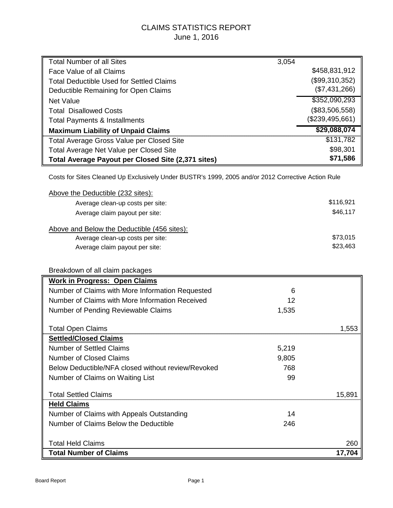## CLAIMS STATISTICS REPORT June 1, 2016

| <b>Total Number of all Sites</b>                   | 3,054           |
|----------------------------------------------------|-----------------|
| Face Value of all Claims                           | \$458,831,912   |
| Total Deductible Used for Settled Claims           | (\$99,310,352)  |
| Deductible Remaining for Open Claims               | (\$7,431,266)   |
| <b>Net Value</b>                                   | \$352,090,293   |
| <b>Total Disallowed Costs</b>                      | (\$83,506,558)  |
| <b>Total Payments &amp; Installments</b>           | (\$239,495,661) |
| <b>Maximum Liability of Unpaid Claims</b>          | \$29,088,074    |
| Total Average Gross Value per Closed Site          | \$131,782       |
| Total Average Net Value per Closed Site            | \$98,301        |
| Total Average Payout per Closed Site (2,371 sites) | \$71,586        |

Costs for Sites Cleaned Up Exclusively Under BUSTR's 1999, 2005 and/or 2012 Corrective Action Rule

| Above the Deductible (232 sites):           |           |
|---------------------------------------------|-----------|
| Average clean-up costs per site:            | \$116,921 |
| Average claim payout per site:              | \$46,117  |
| Above and Below the Deductible (456 sites): |           |
| Average clean-up costs per site:            | \$73,015  |
| Average claim payout per site:              | \$23,463  |

## Breakdown of all claim packages

| <b>Work in Progress: Open Claims</b>               |       |        |
|----------------------------------------------------|-------|--------|
| Number of Claims with More Information Requested   | 6     |        |
| Number of Claims with More Information Received    | 12    |        |
| Number of Pending Reviewable Claims                | 1,535 |        |
| <b>Total Open Claims</b>                           |       | 1.553  |
| <b>Settled/Closed Claims</b>                       |       |        |
| Number of Settled Claims                           | 5,219 |        |
| Number of Closed Claims                            | 9,805 |        |
| Below Deductible/NFA closed without review/Revoked | 768   |        |
| Number of Claims on Waiting List                   | 99    |        |
| <b>Total Settled Claims</b>                        |       | 15,891 |
| <b>Held Claims</b>                                 |       |        |
| Number of Claims with Appeals Outstanding          | 14    |        |
| Number of Claims Below the Deductible              | 246   |        |
|                                                    |       |        |
| <b>Total Held Claims</b>                           |       | 260    |
| <b>Total Number of Claims</b>                      |       | 17.704 |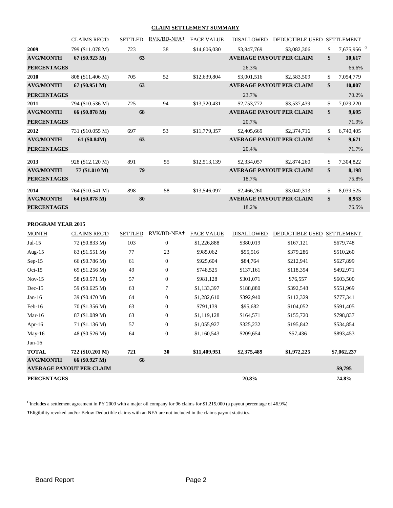#### **CLAIM SETTLEMENT SUMMARY**

|                    | <b>CLAIMS REC'D</b> | <b>SETTLED</b> | RVK/BD-NFA+ | <b>FACE VALUE</b> | <b>DISALLOWED</b> | DEDUCTIBLE USED                 | <b>SETTLEMENT</b>            |  |
|--------------------|---------------------|----------------|-------------|-------------------|-------------------|---------------------------------|------------------------------|--|
| 2009               | 799 (\$11.078 M)    | 723            | 38          | \$14,606,030      | \$3,847,769       | \$3,082,306                     | \$<br>7,675,956 <sup>G</sup> |  |
| <b>AVG/MONTH</b>   | $67 (\$0.923 M)$    | 63             |             |                   |                   | <b>AVERAGE PAYOUT PER CLAIM</b> | \$<br>10,617                 |  |
| <b>PERCENTAGES</b> |                     |                |             |                   | 26.3%             |                                 | 66.6%                        |  |
| 2010               | 808 (\$11.406 M)    | 705            | 52          | \$12,639,804      | \$3,001,516       | \$2,583,509                     | \$<br>7,054,779              |  |
| <b>AVG/MONTH</b>   | 67 (\$0.951 M)      | 63             |             |                   |                   | <b>AVERAGE PAYOUT PER CLAIM</b> | \$<br>10,007                 |  |
| <b>PERCENTAGES</b> |                     |                |             |                   | 23.7%             |                                 | 70.2%                        |  |
| 2011               | 794 (\$10.536 M)    | 725            | 94          | \$13,320,431      | \$2,753,772       | \$3,537,439                     | \$<br>7,029,220              |  |
| <b>AVG/MONTH</b>   | 66 (\$0.878 M)      | 68             |             |                   |                   | <b>AVERAGE PAYOUT PER CLAIM</b> | \$<br>9,695                  |  |
| <b>PERCENTAGES</b> |                     |                |             |                   | 20.7%             |                                 | 71.9%                        |  |
| 2012               | 731 (\$10.055 M)    | 697            | 53          | \$11,779,357      | \$2,405,669       | \$2,374,716                     | \$<br>6,740,405              |  |
| <b>AVG/MONTH</b>   | 61 (\$0.84M)        | 63             |             |                   |                   | <b>AVERAGE PAYOUT PER CLAIM</b> | \$<br>9,671                  |  |
| <b>PERCENTAGES</b> |                     |                |             |                   | 20.4%             |                                 | 71.7%                        |  |
| 2013               | 928 (\$12.120 M)    | 891            | 55          | \$12,513,139      | \$2,334,057       | \$2,874,260                     | \$<br>7,304,822              |  |
| <b>AVG/MONTH</b>   | 77 (\$1.010 M)      | 79             |             |                   |                   | <b>AVERAGE PAYOUT PER CLAIM</b> | \$<br>8,198                  |  |
| <b>PERCENTAGES</b> |                     |                |             |                   | 18.7%             |                                 | 75.8%                        |  |
| 2014               | 764 (\$10.541 M)    | 898            | 58          | \$13,546,097      | \$2,466,260       | \$3,040,313                     | \$<br>8,039,525              |  |
| <b>AVG/MONTH</b>   | 64 (\$0.878 M)      | 80             |             |                   |                   | <b>AVERAGE PAYOUT PER CLAIM</b> | \$<br>8,953                  |  |
| <b>PERCENTAGES</b> |                     |                |             |                   | 18.2%             |                                 | 76.5%                        |  |

#### **PROGRAM YEAR 2015**

| <b>MONTH</b>       | <b>CLAIMS REC'D</b>             | <b>SETTLED</b> | RVK/BD-NFA+      | <b>FACE VALUE</b> | <b>DISALLOWED</b> | <b>DEDUCTIBLE USED</b> | <b>SETTLEMENT</b> |
|--------------------|---------------------------------|----------------|------------------|-------------------|-------------------|------------------------|-------------------|
| $Jul-15$           | 72 (\$0.833 M)                  | 103            | $\boldsymbol{0}$ | \$1,226,888       | \$380,019         | \$167,121              | \$679,748         |
| Aug- $15$          | 83 (\$1.551 M)                  | 77             | 23               | \$985,062         | \$95,516          | \$379,286              | \$510,260         |
| $Sep-15$           | 66 (\$0.786 M)                  | 61             | $\mathbf{0}$     | \$925,604         | \$84,764          | \$212,941              | \$627,899         |
| $Oct-15$           | 69 (\$1.256 M)                  | 49             | $\boldsymbol{0}$ | \$748,525         | \$137,161         | \$118,394              | \$492,971         |
| $Nov-15$           | 58 (\$0.571 M)                  | 57             | $\boldsymbol{0}$ | \$981,128         | \$301,071         | \$76,557               | \$603,500         |
| $Dec-15$           | 59 (\$0.625 M)                  | 63             | $\tau$           | \$1,133,397       | \$188,880         | \$392,548              | \$551,969         |
| $Jan-16$           | 39 (\$0.470 M)                  | 64             | $\boldsymbol{0}$ | \$1,282,610       | \$392,940         | \$112,329              | \$777,341         |
| $Feb-16$           | 70 (\$1.356 M)                  | 63             | $\boldsymbol{0}$ | \$791,139         | \$95,682          | \$104,052              | \$591,405         |
| Mar- $16$          | 87 (\$1.089 M)                  | 63             | $\boldsymbol{0}$ | \$1,119,128       | \$164,571         | \$155,720              | \$798,837         |
| Apr-16             | 71 (\$1.136 M)                  | 57             | $\theta$         | \$1,055,927       | \$325,232         | \$195,842              | \$534,854         |
| May-16             | 48 (\$0.526 M)                  | 64             | $\boldsymbol{0}$ | \$1,160,543       | \$209,654         | \$57,436               | \$893,453         |
| $Jun-16$           |                                 |                |                  |                   |                   |                        |                   |
| <b>TOTAL</b>       | 722 (\$10.201 M)                | 721            | 30               | \$11,409,951      | \$2,375,489       | \$1,972,225            | \$7,062,237       |
| <b>AVG/MONTH</b>   | 66 (\$0.927 M)                  | 68             |                  |                   |                   |                        |                   |
|                    | <b>AVERAGE PAYOUT PER CLAIM</b> |                |                  |                   |                   |                        | \$9,795           |
| <b>PERCENTAGES</b> |                                 |                |                  |                   | 20.8%             |                        | 74.8%             |

 $<sup>G</sup>$ Includes a settlement agreement in PY 2009 with a major oil company for 96 claims for \$1,215,000 (a payout percentage of 46.9%)</sup>

**†**Eligibility revoked and/or Below Deductible claims with an NFA are not included in the claims payout statistics.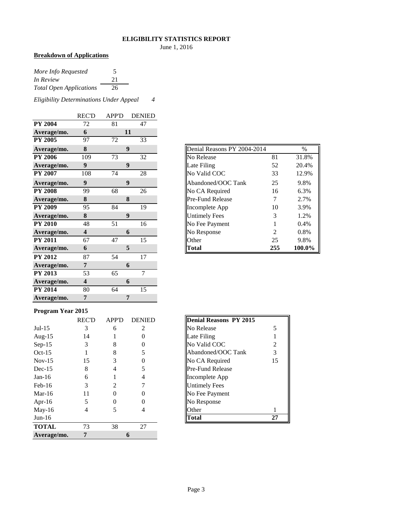#### **ELIGIBILITY STATISTICS REPORT**

June 1, 2016

### **Breakdown of Applications**

| More Info Requested            | C. |
|--------------------------------|----|
| In Review                      | 21 |
| <b>Total Open Applications</b> | 26 |

*Eligibility Determinations Under Appeal 4*

|                | <b>REC'D</b>            | <b>APP'D</b> | <b>DENIED</b> |
|----------------|-------------------------|--------------|---------------|
| <b>PY 2004</b> | 72                      | 81           | 47            |
| Average/mo.    | 6                       |              | 11            |
| <b>PY 2005</b> | 97                      | 72           | 33            |
| Average/mo.    | 8                       |              | 9             |
| <b>PY 2006</b> | 109                     | 73           | 32            |
| Average/mo.    | 9                       |              | 9             |
| <b>PY 2007</b> | 108                     | 74           | 28            |
| Average/mo.    | 9                       |              | 9             |
| <b>PY 2008</b> | 99                      | 68           | 26            |
| Average/mo.    | 8                       |              | 8             |
| <b>PY 2009</b> | 95                      | 84           | 19            |
| Average/mo.    | 8                       |              | 9             |
| <b>PY 2010</b> | 48                      | 51           | 16            |
| Average/mo.    | $\overline{\mathbf{4}}$ |              | 6             |
| <b>PY 2011</b> | 67                      | 47           | 15            |
| Average/mo.    | 6                       |              | 5             |
| <b>PY 2012</b> | 87                      | 54           | 17            |
| Average/mo.    | 7                       |              | 6             |
| <b>PY 2013</b> | 53                      | 65           | 7             |
| Average/mo.    | $\overline{\mathbf{4}}$ |              | 6             |
| <b>PY 2014</b> | 80                      | 64           | 15            |
| Average/mo.    | 7                       |              | 7             |

| Average/mo.    | 8   | 9  |    |
|----------------|-----|----|----|
| <b>PY 2006</b> | 109 | 73 | 32 |
| Average/mo.    | 9   | 9  |    |
| <b>PY 2007</b> | 108 | 74 | 28 |
| Average/mo.    | 9   | 9  |    |
| <b>PY 2008</b> | 99  | 68 | 26 |
| Average/mo.    | 8   | 8  |    |
| <b>PY 2009</b> | 95  | 84 | 19 |
| Average/mo.    | 8   | 9  |    |
| <b>PY 2010</b> | 48  | 51 | 16 |
| Average/mo.    | 4   | 6  |    |
| <b>PY 2011</b> | 67  | 47 | 15 |
| Average/mo.    | 6   | 5  |    |

#### **Program Year 2015**

|              | <b>REC'D</b> | <b>APP'D</b> | <b>DENIED</b> | <b>Denial Reasons PY 2015</b> |
|--------------|--------------|--------------|---------------|-------------------------------|
| $Jul-15$     | 3            | 6            | 2             | No Release<br>5               |
| Aug- $15$    | 14           |              |               | Late Filing                   |
| $Sep-15$     | 3            | 8            | 0             | No Valid COC<br>2             |
| $Oct-15$     |              | 8            |               | Abandoned/OOC Tank<br>3       |
| $Nov-15$     | 15           | 3            |               | No CA Required<br>15          |
| $Dec-15$     | 8            | 4            |               | <b>Pre-Fund Release</b>       |
| $Jan-16$     | 6            |              | 4             | Incomplete App                |
| $Feb-16$     | 3            | 2            |               | <b>Untimely Fees</b>          |
| Mar-16       | 11           | 0            |               | No Fee Payment                |
| Apr-16       | 5            |              |               | No Response                   |
| May-16       | 4            |              | 4             | Other                         |
| $Jun-16$     |              |              |               | <b>Total</b><br>27            |
| <b>TOTAL</b> | 73           | 38           | 27            |                               |
| Average/mo.  | 7            |              | 6             |                               |

| <b>Denial Reasons PY 2015</b> |    |
|-------------------------------|----|
| No Release                    | 5  |
| Late Filing                   |    |
| No Valid COC                  | 2  |
| Abandoned/OOC Tank            | 3  |
| No CA Required                | 15 |
| Pre-Fund Release              |    |
| Incomplete App                |    |
| <b>Untimely Fees</b>          |    |
| No Fee Payment                |    |
| No Response                   |    |
| <b>Other</b>                  |    |
|                               |    |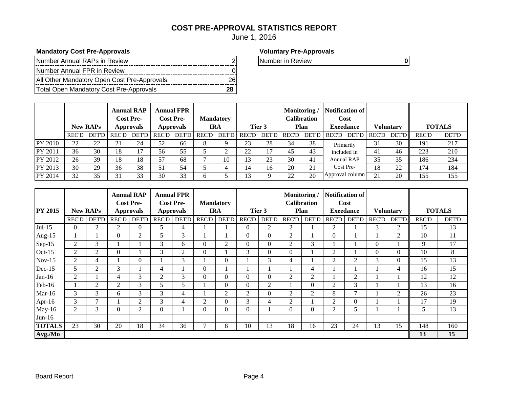## **COST PRE-APPROVAL STATISTICS REPORT**

June 1, 2016

## **Mandatory Cost Pre-Approvals Voluntary Pre-Approvals**

| Number Annual RAPs in Review                 |  |
|----------------------------------------------|--|
| Number Annual FPR in Review                  |  |
| All Other Mandatory Open Cost Pre-Approvals: |  |
| Total Open Mandatory Cost Pre-Approvals      |  |

**Number in Review 2 0 0 0 10 Number in Review 2 0 10 Number in Review 2 0 10 Number in Review 2 0 10 Number in Review 2 0 10 Number in Review 2 0 10 Number in Review 2 0 10 Number in Review 2 0 10 Number in Review 2 0 10 N** 

|                |              | <b>New RAPs</b> |       | <b>Annual RAP</b><br><b>Cost Pre-</b><br><b>Approvals</b> |       | <b>Annual FPR</b><br><b>Cost Pre-</b><br><b>Approvals</b> | <b>Mandatory</b>   | <b>IRA</b> |                    | Tier 3 | Monitoring/ | Calibration<br>Plan | <b>Notification of</b><br>Cost<br><b>Exeedance</b> |                | <b>Voluntary</b> | <b>TOTALS</b> |       |
|----------------|--------------|-----------------|-------|-----------------------------------------------------------|-------|-----------------------------------------------------------|--------------------|------------|--------------------|--------|-------------|---------------------|----------------------------------------------------|----------------|------------------|---------------|-------|
|                | <b>REC'D</b> | <b>DET'D</b>    | REC'D | <b>DET'D</b>                                              | REC'D |                                                           | <b>DET'D REC'D</b> |            | <b>DET'D</b> REC'D |        | DET'D REC'D | DET'D I             | REC'D                                              | DET'D REC'D    | <b>DET'D</b>     | <b>REC'D</b>  | DET'D |
| <b>PY 2010</b> | 22           | 22              | 21    | 24                                                        | 52    | 66                                                        |                    |            | n n                | 28     | 34          | 38                  | Primarily                                          | 31             | 30               | 191           | 217   |
| PY 2011        | 36           | 30              | 18    | 17                                                        | 56    | 55                                                        |                    |            | ററ                 | 17     | 45          | 43                  | included in                                        | 41             | 46               | 223           | 210   |
| PY 2012        | 26           | 39              | 18    | 18                                                        | 57    | 68                                                        |                    | 10         |                    | 23     | 30          | 41                  | <b>Annual RAP</b>                                  | 35             | 35               | 186           | 234   |
| PY 2013        | 30           | 29              | 36    | 38                                                        | 51    | 54                                                        |                    |            |                    | 16     | 20          | 21                  | Cost Pre-                                          | 18             | 22               | 174           | 184   |
| PY 2014        | 32           | 35              | 31    | 33                                                        | 30    | 33                                                        |                    |            |                    |        | 22          | 20                  | Approval column                                    | $\mathcal{D}1$ | 20               | 155           | 155   |

|                |                |                 |                | <b>Annual RAP</b><br><b>Cost Pre-</b> |                  | <b>Annual FPR</b><br><b>Cost Pre-</b> |              | <b>Mandatory</b> |                |                | Monitoring/    | <b>Calibration</b> |                | Notification of<br>Cost |              |                  |               |              |
|----------------|----------------|-----------------|----------------|---------------------------------------|------------------|---------------------------------------|--------------|------------------|----------------|----------------|----------------|--------------------|----------------|-------------------------|--------------|------------------|---------------|--------------|
| <b>PY 2015</b> |                | <b>New RAPs</b> |                | Approvals                             | <b>Approvals</b> |                                       |              | <b>IRA</b>       |                | Tier 3         |                | <b>Plan</b>        |                | <b>Exeedance</b>        |              | <b>Voluntary</b> | <b>TOTALS</b> |              |
|                | <b>REC'D</b>   | <b>DET'D</b>    | <b>REC'D</b>   | <b>DET'D</b>                          | <b>REC'D</b>     | <b>DET'D</b>                          | <b>REC'D</b> | DET'D            | <b>REC'D</b>   | <b>DET'D</b>   | REC'D          | <b>DET'D</b>       | <b>REC'D</b>   | <b>DET'D</b>            | <b>REC'D</b> | <b>DET'D</b>     | <b>REC'D</b>  | <b>DET'D</b> |
| $Jul-15$       | 0              | 2               | $\overline{2}$ | $\theta$                              | 5                | 4                                     |              |                  | $\Omega$       | 2              | $\overline{2}$ |                    | 2              |                         | 3            | 2                | 15            | 13           |
| Aug- $15$      |                |                 | 0              | $\overline{2}$                        | 5                | 3                                     |              |                  | $\Omega$       | $\mathbf{0}$   | 2              |                    | $\Omega$       |                         |              | 2                | 10            | 11           |
| Sep-15         | 2              | 3               |                |                                       | 3                | 6                                     | $\Omega$     | 2                | $\Omega$       | $\Omega$       | 2              | 3                  |                |                         | $\Omega$     |                  | 9             | 17           |
| $Oct-15$       | $\overline{2}$ | 2               | $\overline{0}$ |                                       | 3                | 2                                     | $\Omega$     |                  | 3              | $\mathbf{0}$   | $\overline{0}$ |                    | 2              |                         | $\Omega$     | $\Omega$         | 10            | 8            |
| $Nov-15$       | $\overline{2}$ | 4               |                | $\overline{0}$                        |                  | 3                                     |              | $\Omega$         |                | 3              | $\overline{4}$ |                    | 2              | $\overline{2}$          | 3            | $\Omega$         | 15            | 13           |
| $Dec-15$       | 5              | 2               | 3              |                                       | 4                |                                       | $\theta$     |                  |                |                |                | 4                  |                |                         |              | 4                | 16            | 15           |
| $Jan-16$       | 2              |                 | 4              | 3                                     | 2                | 3                                     | $\Omega$     | $\Omega$         | $\Omega$       | $\Omega$       | $\overline{2}$ | 2                  |                | $\overline{2}$          |              |                  | 12            | 12           |
| Feb-16         |                | 2               | $\overline{2}$ | 3                                     | 5.               | $\overline{\mathbf{5}}$               |              | $\Omega$         | $\Omega$       | 2              |                | 0                  | $\overline{2}$ | 3                       |              |                  | 13            | 16           |
| $Mar-16$       | 3              | 3               | 6              | 3                                     | 3                | 4                                     |              | 2                | $\overline{2}$ | $\Omega$       | 2              | 2                  | 8              | 7                       |              | $\overline{2}$   | 26            | 23           |
| Apr-16         | 3              | 7               |                | $\overline{2}$                        | 3                | 4                                     | 2            | $\Omega$         | 3              | $\overline{4}$ | $\overline{2}$ |                    | 2              | $\Omega$                |              |                  | 17            | 19           |
| $May-16$       | 2              | 3               | $\theta$       | 2                                     | 0                |                                       | $\Omega$     | $\theta$         | $\Omega$       |                | $\Omega$       | 0                  | 2              | 5                       |              |                  | 5             | 13           |
| $Jun-16$       |                |                 |                |                                       |                  |                                       |              |                  |                |                |                |                    |                |                         |              |                  |               |              |
| <b>TOTALS</b>  | 23             | 30              | 20             | 18                                    | 34               | 36                                    |              | 8                | 10             | 13             | 18             | 16                 | 23             | 24                      | 13           | 15               | 148           | 160          |
| Avg./Mo        |                |                 |                |                                       |                  |                                       |              |                  |                |                |                |                    |                |                         |              |                  | 13            | 15           |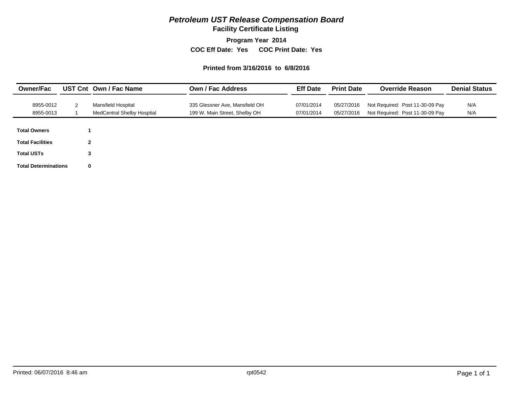## *Petroleum UST Release Compensation Board*

**Facility Certificate Listing**

**Program Year 2014**

**COC Eff Date: Yes COC Print Date: Yes** 

#### **Printed from 3/16/2016 to 6/8/2016**

| <b>Owner/Fac</b>            |             | UST Cnt Own / Fac Name            | <b>Own / Fac Address</b>       | <b>Eff Date</b> | <b>Print Date</b> | <b>Override Reason</b>          | <b>Denial Status</b> |  |
|-----------------------------|-------------|-----------------------------------|--------------------------------|-----------------|-------------------|---------------------------------|----------------------|--|
| 8955-0012                   | 2           | Mansfield Hospital                | 335 Glessner Ave, Mansfield OH | 07/01/2014      | 05/27/2016        | Not Required: Post 11-30-09 Pay | N/A                  |  |
| 8955-0013                   |             | <b>MedCentral Shelby Hosptial</b> | 199 W. Main Street, Shelby OH  | 07/01/2014      | 05/27/2016        | Not Required: Post 11-30-09 Pay | N/A                  |  |
| <b>Total Owners</b>         |             |                                   |                                |                 |                   |                                 |                      |  |
| <b>Total Facilities</b>     | $\mathbf 2$ |                                   |                                |                 |                   |                                 |                      |  |
| <b>Total USTs</b>           | 3           |                                   |                                |                 |                   |                                 |                      |  |
| <b>Total Determinations</b> | $\mathbf 0$ |                                   |                                |                 |                   |                                 |                      |  |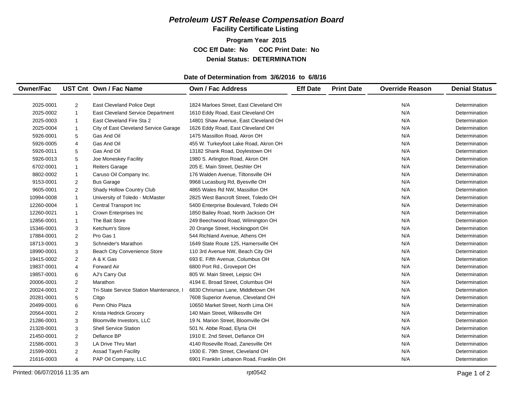## *Petroleum UST Release Compensation Board*  **Facility Certificate Listing**

**Program Year 2015 COC Eff Date: No COC Print Date: No Denial Status: DETERMINATION**

### **Date of Determination from 3/6/2016 to 6/8/16**

| <b>Owner/Fac</b> |                | UST Cnt Own / Fac Name                   | Own / Fac Address                       | <b>Eff Date</b> | <b>Print Date</b> | <b>Override Reason</b> | <b>Denial Status</b> |
|------------------|----------------|------------------------------------------|-----------------------------------------|-----------------|-------------------|------------------------|----------------------|
|                  |                |                                          |                                         |                 |                   |                        |                      |
| 2025-0001        | $\overline{2}$ | East Cleveland Police Dept               | 1824 Marloes Street, East Cleveland OH  |                 |                   | N/A                    | Determination        |
| 2025-0002        | $\mathbf{1}$   | East Cleveland Service Department        | 1610 Eddy Road, East Cleveland OH       |                 |                   | N/A                    | Determination        |
| 2025-0003        | $\mathbf{1}$   | East Cleveland Fire Sta 2                | 14801 Shaw Avenue, East Cleveland OH    |                 |                   | N/A                    | Determination        |
| 2025-0004        | $\mathbf{1}$   | City of East Cleveland Service Garage    | 1626 Eddy Road, East Cleveland OH       |                 |                   | N/A                    | Determination        |
| 5926-0001        | 5              | Gas And Oil                              | 1475 Massillon Road, Akron OH           |                 |                   | N/A                    | Determination        |
| 5926-0005        | 4              | Gas And Oil                              | 455 W. Turkeyfoot Lake Road, Akron OH   |                 |                   | N/A                    | Determination        |
| 5926-0011        | 5              | Gas And Oil                              | 13182 Shank Road, Doylestown OH         |                 |                   | N/A                    | Determination        |
| 5926-0013        | 5              | Joe Moneskey Facility                    | 1980 S. Arlington Road, Akron OH        |                 |                   | N/A                    | Determination        |
| 6702-0001        | 1              | <b>Reiters Garage</b>                    | 205 E. Main Street, Deshler OH          |                 |                   | N/A                    | Determination        |
| 8802-0002        | $\mathbf{1}$   | Caruso Oil Company Inc.                  | 176 Walden Avenue, Tiltonsville OH      |                 |                   | N/A                    | Determination        |
| 9153-0001        | 2              | <b>Bus Garage</b>                        | 9968 Lucasburg Rd, Byesville OH         |                 |                   | N/A                    | Determination        |
| 9605-0001        | 2              | Shady Hollow Country Club                | 4865 Wales Rd NW, Massillon OH          |                 |                   | N/A                    | Determination        |
| 10994-0008       | $\mathbf{1}$   | University of Toledo - McMaster          | 2825 West Bancroft Street, Toledo OH    |                 |                   | N/A                    | Determination        |
| 12260-0004       | $\mathbf{1}$   | Central Transport Inc                    | 5400 Enterprise Boulevard, Toledo OH    |                 |                   | N/A                    | Determination        |
| 12260-0021       | $\mathbf{1}$   | Crown Enterprises Inc                    | 1850 Bailey Road, North Jackson OH      |                 |                   | N/A                    | Determination        |
| 12856-0001       | $\mathbf{1}$   | The Bait Store                           | 249 Beechwood Road, Wilmington OH       |                 |                   | N/A                    | Determination        |
| 15346-0001       | 3              | Ketchum's Store                          | 20 Orange Street, Hockingport OH        |                 |                   | N/A                    | Determination        |
| 17884-0001       | $\overline{2}$ | Pro Gas 1                                | 544 Richland Avenue, Athens OH          |                 |                   | N/A                    | Determination        |
| 18713-0001       | 3              | Schneider's Marathon                     | 1649 State Route 125, Hamersville OH    |                 |                   | N/A                    | Determination        |
| 18990-0001       | 3              | <b>Beach City Convenience Store</b>      | 110 3rd Avenue NW, Beach City OH        |                 |                   | N/A                    | Determination        |
| 19415-0002       | $\overline{2}$ | A & K Gas                                | 693 E. Fifth Avenue, Columbus OH        |                 |                   | N/A                    | Determination        |
| 19837-0001       | 4              | <b>Forward Air</b>                       | 6800 Port Rd., Groveport OH             |                 |                   | N/A                    | Determination        |
| 19857-0001       | 6              | AJ's Carry Out                           | 805 W. Main Street, Leipsic OH          |                 |                   | N/A                    | Determination        |
| 20006-0001       | 2              | Marathon                                 | 4194 E. Broad Street, Columbus OH       |                 |                   | N/A                    | Determination        |
| 20024-0001       | 2              | Tri-State Service Station Maintenance, I | 6830 Chrisman Lane, Middletown OH       |                 |                   | N/A                    | Determination        |
| 20281-0001       | 5              | Citgo                                    | 7608 Superior Avenue, Cleveland OH      |                 |                   | N/A                    | Determination        |
| 20499-0001       | 6              | Penn Ohio Plaza                          | 10650 Market Street, North Lima OH      |                 |                   | N/A                    | Determination        |
| 20564-0001       | $\overline{2}$ | Krista Hedrick Grocery                   | 140 Main Street, Wilkesville OH         |                 |                   | N/A                    | Determination        |
| 21286-0001       | 3              | Bloomville Investors, LLC                | 19 N. Marion Street, Bloomville OH      |                 |                   | N/A                    | Determination        |
| 21328-0001       | 3              | <b>Shell Service Station</b>             | 501 N. Abbe Road, Elyria OH             |                 |                   | N/A                    | Determination        |
| 21450-0001       | 2              | Defiance BP                              | 1910 E. 2nd Street, Defiance OH         |                 |                   | N/A                    | Determination        |
| 21586-0001       | 3              | <b>LA Drive Thru Mart</b>                | 4140 Roseville Road, Zanesville OH      |                 |                   | N/A                    | Determination        |
| 21599-0001       | 2              | <b>Assad Tayeh Facility</b>              | 1930 E. 79th Street, Cleveland OH       |                 |                   | N/A                    | Determination        |
| 21616-0003       | $\overline{4}$ | PAP Oil Company, LLC                     | 6901 Franklin Lebanon Road, Franklin OH |                 |                   | N/A                    | Determination        |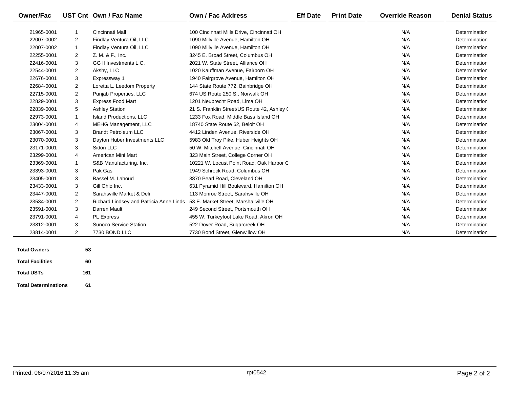| <b>Owner/Fac</b>    |                | UST Cnt Own / Fac Name                  | <b>Own / Fac Address</b>                    | <b>Eff Date</b> | <b>Print Date</b> | <b>Override Reason</b> | <b>Denial Status</b> |
|---------------------|----------------|-----------------------------------------|---------------------------------------------|-----------------|-------------------|------------------------|----------------------|
|                     |                |                                         |                                             |                 |                   |                        |                      |
| 21965-0001          | $\mathbf{1}$   | Cincinnati Mall                         | 100 Cincinnati Mills Drive, Cincinnati OH   |                 |                   | N/A                    | Determination        |
| 22007-0002          | 2              | Findlay Ventura Oil, LLC                | 1090 Millville Avenue, Hamilton OH          |                 |                   | N/A                    | Determination        |
| 22007-0002          | $\mathbf{1}$   | Findlay Ventura Oil, LLC                | 1090 Millville Avenue, Hamilton OH          |                 |                   | N/A                    | Determination        |
| 22255-0001          | 2              | Z. M. & F., Inc.                        | 3245 E. Broad Street, Columbus OH           |                 |                   | N/A                    | Determination        |
| 22416-0001          | 3              | GG II Investments L.C.                  | 2021 W. State Street, Alliance OH           |                 |                   | N/A                    | Determination        |
| 22544-0001          | $\overline{2}$ | Akshy, LLC                              | 1020 Kauffman Avenue, Fairborn OH           |                 |                   | N/A                    | Determination        |
| 22676-0001          | 3              | Expressway 1                            | 1940 Fairgrove Avenue, Hamilton OH          |                 |                   | N/A                    | Determination        |
| 22684-0001          | $\overline{2}$ | Loretta L. Leedom Property              | 144 State Route 772, Bainbridge OH          |                 |                   | N/A                    | Determination        |
| 22715-0001          | 2              | Punjab Properties, LLC                  | 674 US Route 250 S., Norwalk OH             |                 |                   | N/A                    | Determination        |
| 22829-0001          | 3              | <b>Express Food Mart</b>                | 1201 Neubrecht Road, Lima OH                |                 |                   | N/A                    | Determination        |
| 22839-0001          | 5              | <b>Ashley Station</b>                   | 21 S. Franklin Street/US Route 42, Ashley ( |                 |                   | N/A                    | Determination        |
| 22973-0001          | 1              | Island Productions, LLC                 | 1233 Fox Road, Middle Bass Island OH        |                 |                   | N/A                    | Determination        |
| 23004-0001          | 4              | MEHG Management, LLC                    | 18740 State Route 62, Beloit OH             |                 |                   | N/A                    | Determination        |
| 23067-0001          | 3              | <b>Brandt Petroleum LLC</b>             | 4412 Linden Avenue, Riverside OH            |                 |                   | N/A                    | Determination        |
| 23070-0001          | 3              | Dayton Huber Investments LLC            | 5983 Old Troy Pike, Huber Heights OH        |                 |                   | N/A                    | Determination        |
| 23171-0001          | 3              | Sidon LLC                               | 50 W. Mitchell Avenue, Cincinnati OH        |                 |                   | N/A                    | Determination        |
| 23299-0001          | 4              | American Mini Mart                      | 323 Main Street, College Corner OH          |                 |                   | N/A                    | Determination        |
| 23369-0001          | 1              | S&B Manufacturing, Inc.                 | 10221 W. Locust Point Road, Oak Harbor C    |                 |                   | N/A                    | Determination        |
| 23393-0001          | 3              | Pak Gas                                 | 1949 Schrock Road, Columbus OH              |                 |                   | N/A                    | Determination        |
| 23405-0001          | 3              | Bassel M. Lahoud                        | 3870 Pearl Road, Cleveland OH               |                 |                   | N/A                    | Determination        |
| 23433-0001          | 3              | Gill Ohio Inc.                          | 631 Pyramid Hill Boulevard, Hamilton OH     |                 |                   | N/A                    | Determination        |
| 23447-0001          | 2              | Sarahsville Market & Deli               | 113 Monroe Street, Sarahsville OH           |                 |                   | N/A                    | Determination        |
| 23534-0001          | $\overline{2}$ | Richard Lindsey and Patricia Anne Linds | 53 E. Market Street, Marshallville OH       |                 |                   | N/A                    | Determination        |
| 23591-0001          | 3              | Darren Mault                            | 249 Second Street, Portsmouth OH            |                 |                   | N/A                    | Determination        |
| 23791-0001          | 4              | <b>PL Express</b>                       | 455 W. Turkeyfoot Lake Road, Akron OH       |                 |                   | N/A                    | Determination        |
| 23812-0001          | 3              | <b>Sunoco Service Station</b>           | 522 Dover Road, Sugarcreek OH               |                 |                   | N/A                    | Determination        |
| 23814-0001          | 2              | 7730 BOND LLC                           | 7730 Bond Street, Glenwillow OH             |                 |                   | N/A                    | Determination        |
| <b>Total Owners</b> | 53.            |                                         |                                             |                 |                   |                        |                      |

| <b>Total Owners</b>         | 53  |
|-----------------------------|-----|
| <b>Total Facilities</b>     | 60  |
| <b>Total USTs</b>           | 161 |
| <b>Total Determinations</b> | 61  |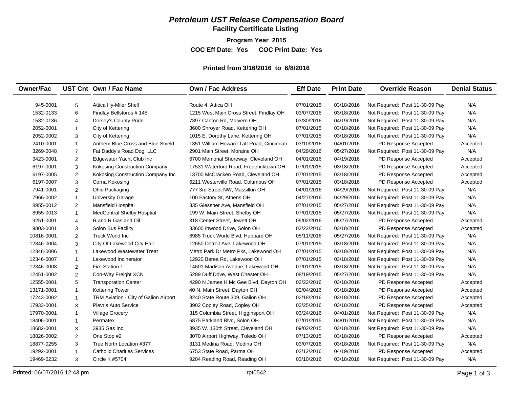## *Petroleum UST Release Compensation Board*

**Facility Certificate Listing**

**Program Year 2015**

**COC Eff Date: Yes COC Print Date: Yes** 

#### **Printed from 3/16/2016 to 6/8/2016**

| <b>Owner/Fac</b> |                | UST Cnt Own / Fac Name                | <b>Own / Fac Address</b>                  | <b>Eff Date</b> | <b>Print Date</b> | <b>Override Reason</b>          | <b>Denial Status</b> |
|------------------|----------------|---------------------------------------|-------------------------------------------|-----------------|-------------------|---------------------------------|----------------------|
| 945-0001         | 5              | Attica Hy-Miler Shell                 | Route 4, Attica OH                        | 07/01/2015      | 03/18/2016        | Not Required: Post 11-30-09 Pay | N/A                  |
| 1532-0133        | 6              | Findlay Bellstores #145               | 1215 West Main Cross Street, Findlay OH   | 03/07/2016      | 03/18/2016        | Not Required: Post 11-30-09 Pay | N/A                  |
| 1532-0136        |                | Dorsey's County Pride                 | 7397 Canton Rd, Malvern OH                | 03/30/2016      | 04/19/2016        | Not Required: Post 11-30-09 Pay | N/A                  |
|                  | 4              |                                       |                                           |                 |                   |                                 | N/A                  |
| 2052-0001        | $\mathbf{1}$   | City of Kettering                     | 3600 Shroyer Road, Kettering OH           | 07/01/2015      | 03/18/2016        | Not Required: Post 11-30-09 Pay | N/A                  |
| 2052-0002        | 3              | City of Kettering                     | 1015 E. Dorothy Lane, Kettering OH        | 07/01/2015      | 03/18/2016        | Not Required: Post 11-30-09 Pay |                      |
| 2410-0001        | $\mathbf{1}$   | Anthem Blue Cross and Blue Shield     | 1351 William Howard Taft Road, Cincinnati | 03/10/2016      | 04/01/2016        | PD Response Accepted            | Accepted             |
| 3269-0048        | $\overline{7}$ | Fat Daddy's Road Dog, LLC             | 2901 Main Street, Moraine OH              | 04/29/2016      | 05/27/2016        | Not Required: Post 11-30-09 Pay | N/A                  |
| 3423-0001        | $\overline{2}$ | Edgewater Yacht Club Inc              | 6700 Memorial Shoreway, Cleveland OH      | 04/01/2016      | 04/19/2016        | PD Response Accepted            | Accepted             |
| 6197-0001        | 3              | <b>Kokosing Construction Company</b>  | 17531 Waterford Road, Fredericktown OH    | 07/01/2015      | 03/18/2016        | PD Response Accepted            | Accepted             |
| 6197-0005        | $\overline{2}$ | Kokosing Construction Company Inc     | 13700 McCracken Road, Cleveland OH        | 07/01/2015      | 03/18/2016        | PD Response Accepted            | Accepted             |
| 6197-0007        | 3              | Corna Kokosing                        | 6211 Westerville Road, Columbus OH        | 07/01/2015      | 03/18/2016        | PD Response Accepted            | Accepted             |
| 7941-0001        | $\overline{2}$ | Ohio Packaging                        | 777 3rd Street NW, Massillon OH           | 04/01/2016      | 04/29/2016        | Not Required: Post 11-30-09 Pay | N/A                  |
| 7966-0002        | $\mathbf{1}$   | <b>University Garage</b>              | 100 Factory St, Athens OH                 | 04/27/2016      | 04/29/2016        | Not Required: Post 11-30-09 Pay | N/A                  |
| 8955-0012        | $\overline{2}$ | <b>Mansfield Hospital</b>             | 335 Glessner Ave, Mansfield OH            | 07/01/2015      | 05/27/2016        | Not Required: Post 11-30-09 Pay | N/A                  |
| 8955-0013        | $\mathbf{1}$   | <b>MedCentral Shelby Hosptial</b>     | 199 W. Main Street, Shelby OH             | 07/01/2015      | 05/27/2016        | Not Required: Post 11-30-09 Pay | N/A                  |
| 9251-0001        | $\overline{4}$ | R and R Gas and Oil                   | 318 Center Street, Jewett OH              | 05/02/2016      | 05/27/2016        | PD Response Accepted            | Accepted             |
| 9803-0001        | 3              | Solon Bus Facility                    | 33600 Inwood Drive, Solon OH              | 02/22/2016      | 03/18/2016        | PD Response Accepted            | Accepted             |
| 10816-0001       | 2              | <b>Truck World Inc</b>                | 6985 Truck World Blvd, Hubbard OH         | 05/11/2016      | 05/27/2016        | Not Required: Post 11-30-09 Pay | N/A                  |
| 12346-0004       | 3              | City Of Lakewood City Hall            | 12650 Detroit Ave. Lakewood OH            | 07/01/2015      | 03/18/2016        | Not Required: Post 11-30-09 Pay | N/A                  |
| 12346-0006       | $\mathbf{1}$   | Lakewood Wastewater Treat             | Metro Park Dr Metro Pks, Lakewood OH      | 07/01/2015      | 03/18/2016        | Not Required: Post 11-30-09 Pay | N/A                  |
| 12346-0007       | $\mathbf{1}$   | Lakewood Incinerator                  | 12920 Berea Rd, Lakewood OH               | 07/01/2015      | 03/18/2016        | Not Required: Post 11-30-09 Pay | N/A                  |
| 12346-0008       | 2              | Fire Station 1                        | 14601 Madison Avenue, Lakewood OH         | 07/01/2015      | 03/18/2016        | Not Required: Post 11-30-09 Pay | N/A                  |
| 12451-0002       | 2              | Con-Way Freight XCN                   | 5289 Duff Drive, West Chester OH          | 08/19/2015      | 05/27/2016        | Not Required: Post 11-30-09 Pay | N/A                  |
| 12555-0001       | 5              | <b>Transporation Center</b>           | 4290 N James H Mc Gee Blvd, Dayton OH     | 02/22/2016      | 03/18/2016        | PD Response Accepted            | Accepted             |
| 13171-0001       | $\mathbf{1}$   | <b>Kettering Tower</b>                | 40 N. Main Street, Dayton OH              | 02/04/2016      | 03/18/2016        | PD Response Accepted            | Accepted             |
| 17243-0002       | $\mathbf{1}$   | TRM Aviation - City of Galion Airport | 8240 State Route 309, Galion OH           | 02/18/2016      | 03/18/2016        | PD Response Accepted            | Accepted             |
| 17933-0001       | 3              | <b>Plevris Auto Service</b>           | 3902 Copley Road, Copley OH               | 02/25/2016      | 03/18/2016        | PD Response Accepted            | Accepted             |
| 17970-0001       | $\mathbf{1}$   | Village Grocery                       | 315 Columbia Street, Higginsport OH       | 03/24/2016      | 04/01/2016        | Not Required: Post 11-30-09 Pay | N/A                  |
| 18406-0001       | $\mathbf{1}$   | Permatex                              | 6875 Parkland Blvd, Solon OH              | 07/01/2015      | 04/01/2016        | Not Required: Post 11-30-09 Pay | N/A                  |
| 18682-0001       | 3              | 3935 Gas Inc.                         | 3935 W. 130th Street, Cleveland OH        | 09/02/2015      | 03/18/2016        | Not Required: Post 11-30-09 Pay | N/A                  |
| 18826-0002       | $\overline{2}$ | One Stop #2                           | 3070 Airport Highway, Toledo OH           | 07/13/2015      | 03/18/2016        | PD Response Accepted            | Accepted             |
| 18877-0255       | 3              | True North Location #377              | 3131 Medina Road, Medina OH               | 03/07/2016      | 03/18/2016        | Not Required: Post 11-30-09 Pay | N/A                  |
| 19292-0001       | $\mathbf{1}$   | <b>Catholic Charities Services</b>    | 6753 State Road, Parma OH                 | 02/12/2016      | 04/19/2016        | PD Response Accepted            | Accepted             |
| 19469-0232       | 3              | <b>Circle K #5704</b>                 | 9204 Reading Road, Reading OH             | 03/10/2016      | 03/18/2016        | Not Required: Post 11-30-09 Pay | N/A                  |
|                  |                |                                       |                                           |                 |                   |                                 |                      |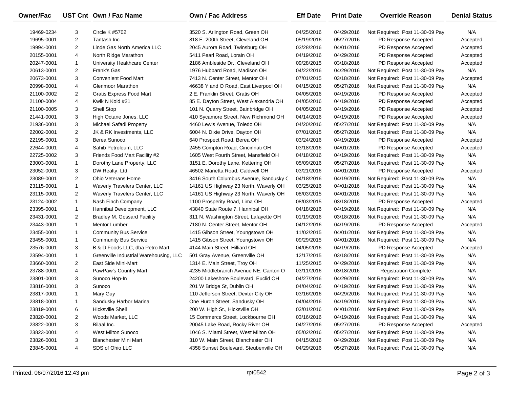| Owner/Fac  |                | UST Cnt Own / Fac Name                 | <b>Own / Fac Address</b>                | <b>Eff Date</b> | <b>Print Date</b> | <b>Override Reason</b>          | <b>Denial Status</b> |
|------------|----------------|----------------------------------------|-----------------------------------------|-----------------|-------------------|---------------------------------|----------------------|
| 19469-0234 | 3              | Circle K #5702                         | 3520 S. Arlington Road, Green OH        | 04/25/2016      | 04/29/2016        | Not Required: Post 11-30-09 Pay | N/A                  |
| 19695-0001 | $\overline{2}$ | Tantash Inc.                           | 818 E. 200th Street, Cleveland OH       | 05/19/2016      | 05/27/2016        | PD Response Accepted            | Accepted             |
| 19994-0001 | $\overline{2}$ | Linde Gas North America LLC            | 2045 Aurora Road, Twinsburg OH          | 03/28/2016      | 04/01/2016        | PD Response Accepted            | Accepted             |
| 20155-0001 | 4              | North Ridge Marathon                   | 5411 Pearl Road, Lorain OH              | 04/19/2016      | 04/29/2016        | PD Response Accepted            | Accepted             |
| 20247-0001 | $\mathbf{1}$   | University Healthcare Center           | 2186 Ambleside Dr., Cleveland OH        | 09/28/2015      | 03/18/2016        | PD Response Accepted            | Accepted             |
| 20613-0001 | $\overline{2}$ | Frank's Gas                            | 1976 Hubbard Road, Madison OH           | 04/22/2016      | 04/29/2016        | Not Required: Post 11-30-09 Pay | N/A                  |
| 20673-0001 | 3              | <b>Convenient Food Mart</b>            | 7413 N. Center Street, Mentor OH        | 07/01/2015      | 03/18/2016        | Not Required: Post 11-30-09 Pay | Accepted             |
| 20998-0001 | 4              | Glenmoor Marathon                      | 46638 Y and O Road, East Liverpool OH   | 04/15/2016      | 05/27/2016        | Not Required: Post 11-30-09 Pay | N/A                  |
| 21100-0002 | 2              | <b>Gratis Express Food Mart</b>        | 2 E. Franklin Street, Gratis OH         | 04/05/2016      | 04/19/2016        | PD Response Accepted            | Accepted             |
| 21100-0004 | 4              | Kwik N Kold #21                        | 85 E. Dayton Street, West Alexandria OH | 04/05/2016      | 04/19/2016        | PD Response Accepted            | Accepted             |
| 21100-0005 | 3              | Shell Stop                             | 101 N. Quarry Street, Bainbridge OH     | 04/05/2016      | 04/19/2016        | PD Response Accepted            | Accepted             |
| 21441-0001 | 3              | High Octane Jones, LLC                 | 410 Sycamore Street, New Richmond OH    | 04/14/2016      | 04/19/2016        | PD Response Accepted            | Accepted             |
| 21936-0001 | 3              | Michael Safadi Property                | 4460 Lewis Avenue, Toledo OH            | 04/20/2016      | 05/27/2016        | Not Required: Post 11-30-09 Pay | N/A                  |
| 22002-0001 | $\overline{2}$ | JK & RK Investments, LLC               | 6004 N. Dixie Drive, Dayton OH          | 07/01/2015      | 05/27/2016        | Not Required: Post 11-30-09 Pay | N/A                  |
| 22195-0001 | 3              | Berea Sunoco                           | 640 Prospect Road, Berea OH             | 03/24/2016      | 04/19/2016        | PD Response Accepted            | Accepted             |
| 22644-0001 | 4              | Sahib Petroleum, LLC                   | 2455 Compton Road, Cincinnati OH        | 03/18/2016      | 04/01/2016        | PD Response Accepted            | Accepted             |
| 22725-0002 | 3              | Friends Food Mart Facility #2          | 1605 West Fourth Street, Mansfield OH   | 04/18/2016      | 04/19/2016        | Not Required: Post 11-30-09 Pay | N/A                  |
| 23003-0001 | 1              | Dorothy Lane Property, LLC             | 3151 E. Dorothy Lane, Kettering OH      | 05/09/2016      | 05/27/2016        | Not Required: Post 11-30-09 Pay | N/A                  |
| 23052-0001 | 3              | DW Realty, Ltd                         | 46502 Marietta Road, Caldwell OH        | 03/21/2016      | 04/01/2016        | PD Response Accepted            | Accepted             |
| 23089-0001 | $\overline{2}$ | Ohio Veterans Home                     | 3416 South Columbus Avenue, Sandusky C  | 04/18/2016      | 04/19/2016        | Not Required: Post 11-30-09 Pay | N/A                  |
| 23115-0001 | $\mathbf{1}$   | Waverly Travelers Center, LLC          | 14161 US Highway 23 North, Waverly OH   | 03/25/2016      | 04/01/2016        | Not Required: Post 11-30-09 Pay | N/A                  |
| 23115-0001 | $\overline{2}$ | Waverly Travelers Center, LLC          | 14161 US Highway 23 North, Waverly OH   | 08/03/2015      | 04/01/2016        | Not Required: Post 11-30-09 Pay | N/A                  |
| 23124-0002 | $\mathbf{1}$   | Nash Finch Company                     | 1100 Prosperity Road, Lima OH           | 08/03/2015      | 03/18/2016        | PD Response Accepted            | Accepted             |
| 23395-0001 | $\mathbf{1}$   | Hannibal Development, LLC              | 43840 State Route 7, Hannibal OH        | 04/18/2016      | 04/19/2016        | Not Required: Post 11-30-09 Pay | N/A                  |
| 23431-0001 | 2              | <b>Bradley M. Gossard Facility</b>     | 311 N. Washington Street, Lafayette OH  | 01/19/2016      | 03/18/2016        | Not Required: Post 11-30-09 Pay | N/A                  |
| 23443-0001 | $\mathbf{1}$   | <b>Mentor Lumber</b>                   | 7180 N. Center Street, Mentor OH        | 04/12/2016      | 04/19/2016        | PD Response Accepted            | Accepted             |
| 23455-0001 | $\mathbf{1}$   | <b>Community Bus Service</b>           | 1415 Gibson Street, Youngstown OH       | 11/02/2015      | 04/01/2016        | Not Required: Post 11-30-09 Pay | N/A                  |
| 23455-0001 | $\mathbf{1}$   | <b>Community Bus Service</b>           | 1415 Gibson Street, Youngstown OH       | 09/29/2015      | 04/01/2016        | Not Required: Post 11-30-09 Pay | N/A                  |
| 23576-0001 | 3              | B & D Foods LLC, dba Petro Mart        | 4144 Main Street, Hilliard OH           | 04/05/2016      | 04/19/2016        | PD Response Accepted            | Accepted             |
| 23594-0001 | 1              | Greenville Industrial Warehousing, LLC | 501 Gray Avenue, Greenville OH          | 12/17/2015      | 03/18/2016        | Not Required: Post 11-30-09 Pay | N/A                  |
| 23660-0001 | 2              | East Side Mini-Mart                    | 1314 E. Main Street, Troy OH            | 11/25/2015      | 04/29/2016        | Not Required: Post 11-30-09 Pay | N/A                  |
| 23788-0001 | 4              | PawPaw's Country Mart                  | 4235 Middlebranch Avenue NE, Canton O   | 03/11/2016      | 03/18/2016        | <b>Registration Complete</b>    | N/A                  |
| 23801-0001 | 3              | Sunoco Hop-In                          | 24200 Lakeshore Boulevard, Euclid OH    | 04/27/2016      | 04/29/2016        | Not Required: Post 11-30-09 Pay | N/A                  |
| 23816-0001 | 3              | Sunoco                                 | 201 W Bridge St, Dublin OH              | 04/04/2016      | 04/19/2016        | Not Required: Post 11-30-09 Pay | N/A                  |
| 23817-0001 | $\mathbf{1}$   | Mary Guy                               | 110 Jefferson Street, Dexter City OH    | 03/16/2016      | 04/29/2016        | Not Required: Post 11-30-09 Pay | N/A                  |
| 23818-0001 | 1              | Sandusky Harbor Marina                 | One Huron Street, Sandusky OH           | 04/04/2016      | 04/19/2016        | Not Required: Post 11-30-09 Pay | N/A                  |
| 23819-0001 | 6              | <b>Hicksville Shell</b>                | 200 W. High St., Hicksville OH          | 03/01/2016      | 04/01/2016        | Not Required: Post 11-30-09 Pay | N/A                  |
| 23820-0001 | $\overline{2}$ | Woods Market, LLC                      | 15 Commerce Street, Lockbourne OH       | 03/16/2016      | 04/19/2016        | Not Required: Post 11-30-09 Pay | N/A                  |
| 23822-0001 | 3              | Bilaal Inc.                            | 20045 Lake Road, Rocky River OH         | 04/27/2016      | 05/27/2016        | PD Response Accepted            | Accepted             |
| 23823-0001 | 4              | West Milton Sunoco                     | 1046 S. Miami Street, West Milton OH    | 05/02/2016      | 05/27/2016        | Not Required: Post 11-30-09 Pay | N/A                  |
| 23826-0001 | 3              | <b>Blanchester Mini Mart</b>           | 310 W. Main Street, Blanchester OH      | 04/15/2016      | 04/29/2016        | Not Required: Post 11-30-09 Pay | N/A                  |
| 23845-0001 | 4              | SDS of Ohio LLC                        | 4358 Sunset Boulevard, Steubenville OH  | 04/29/2016      | 05/27/2016        | Not Required: Post 11-30-09 Pay | N/A                  |
|            |                |                                        |                                         |                 |                   |                                 |                      |